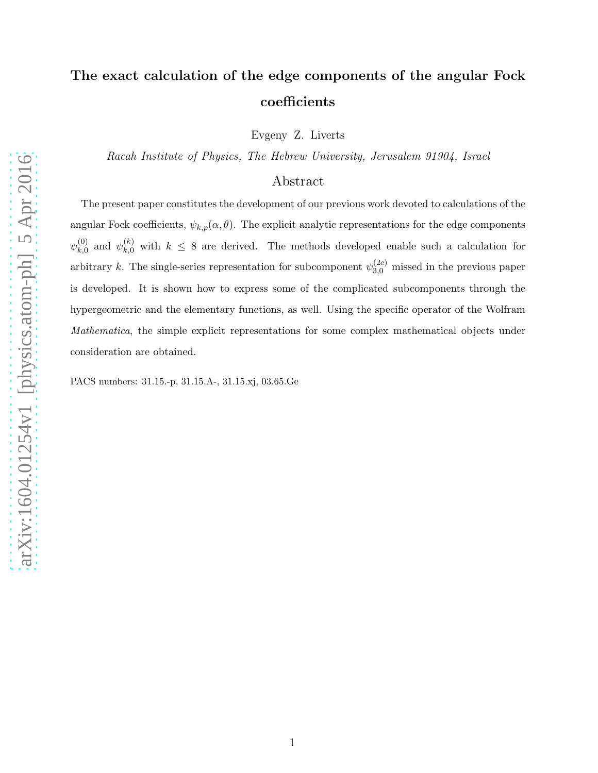# The exact calculation of the edge components of the angular Fock coefficients

Evgeny Z. Liverts

Racah Institute of Physics, The Hebrew University, Jerusalem 91904, Israel

## Abstract

The present paper constitutes the development of our previous work devoted to calculations of the angular Fock coefficients,  $\psi_{k,p}(\alpha, \theta)$ . The explicit analytic representations for the edge components  $\psi_{k,0}^{(0)}$  $\psi_{k,0}^{(0)}$  and  $\psi_{k,0}^{(k)}$  with  $k \leq 8$  are derived. The methods developed enable such a calculation for arbitrary k. The single-series representation for subcomponent  $\psi_{3,0}^{(2e)}$  missed in the previous paper is developed. It is shown how to express some of the complicated subcomponents through the hypergeometric and the elementary functions, as well. Using the specific operator of the Wolfram Mathematica, the simple explicit representations for some complex mathematical objects under consideration are obtained.

PACS numbers: 31.15.-p, 31.15.A-, 31.15.xj, 03.65.Ge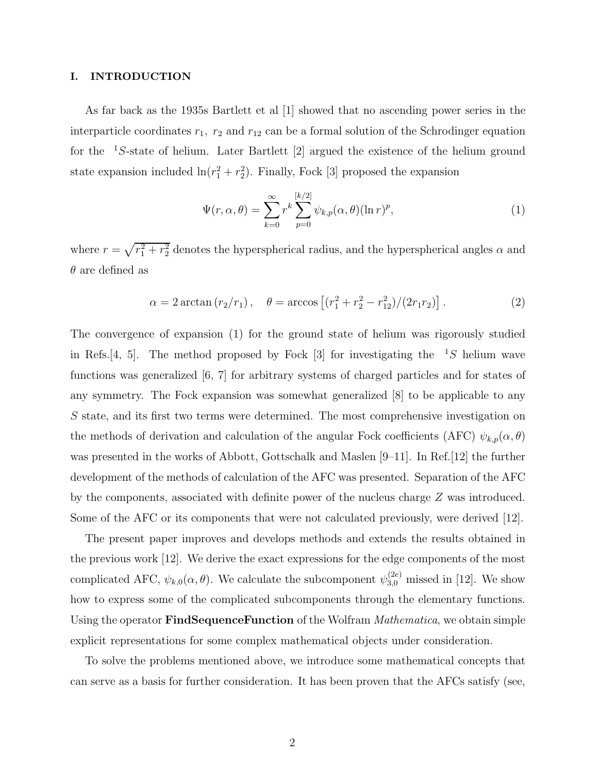#### I. INTRODUCTION

As far back as the 1935s Bartlett et al [1] showed that no ascending power series in the interparticle coordinates  $r_1$ ,  $r_2$  and  $r_{12}$  can be a formal solution of the Schrodinger equation for the  ${}^{1}S$ -state of helium. Later Bartlett [2] argued the existence of the helium ground state expansion included  $\ln(r_1^2 + r_2^2)$ . Finally, Fock [3] proposed the expansion

$$
\Psi(r,\alpha,\theta) = \sum_{k=0}^{\infty} r^k \sum_{p=0}^{[k/2]} \psi_{k,p}(\alpha,\theta) (\ln r)^p,
$$
\n(1)

where  $r = \sqrt{r_1^2 + r_2^2}$  denotes the hyperspherical radius, and the hyperspherical angles  $\alpha$  and  $\theta$  are defined as

$$
\alpha = 2 \arctan(r_2/r_1), \quad \theta = \arccos\left[ (r_1^2 + r_2^2 - r_{12}^2)/(2r_1r_2) \right]. \tag{2}
$$

The convergence of expansion (1) for the ground state of helium was rigorously studied in Refs. [4, 5]. The method proposed by Fock [3] for investigating the  ${}^{1}S$  helium wave functions was generalized [6, 7] for arbitrary systems of charged particles and for states of any symmetry. The Fock expansion was somewhat generalized [8] to be applicable to any S state, and its first two terms were determined. The most comprehensive investigation on the methods of derivation and calculation of the angular Fock coefficients (AFC)  $\psi_{k,p}(\alpha, \theta)$ was presented in the works of Abbott, Gottschalk and Maslen [9–11]. In Ref. [12] the further development of the methods of calculation of the AFC was presented. Separation of the AFC by the components, associated with definite power of the nucleus charge Z was introduced. Some of the AFC or its components that were not calculated previously, were derived [12].

The present paper improves and develops methods and extends the results obtained in the previous work [12]. We derive the exact expressions for the edge components of the most complicated AFC,  $\psi_{k,0}(\alpha, \theta)$ . We calculate the subcomponent  $\psi_{3,0}^{(2e)}$  missed in [12]. We show how to express some of the complicated subcomponents through the elementary functions. Using the operator **FindSequenceFunction** of the Wolfram *Mathematica*, we obtain simple explicit representations for some complex mathematical objects under consideration.

To solve the problems mentioned above, we introduce some mathematical concepts that can serve as a basis for further consideration. It has been proven that the AFCs satisfy (see,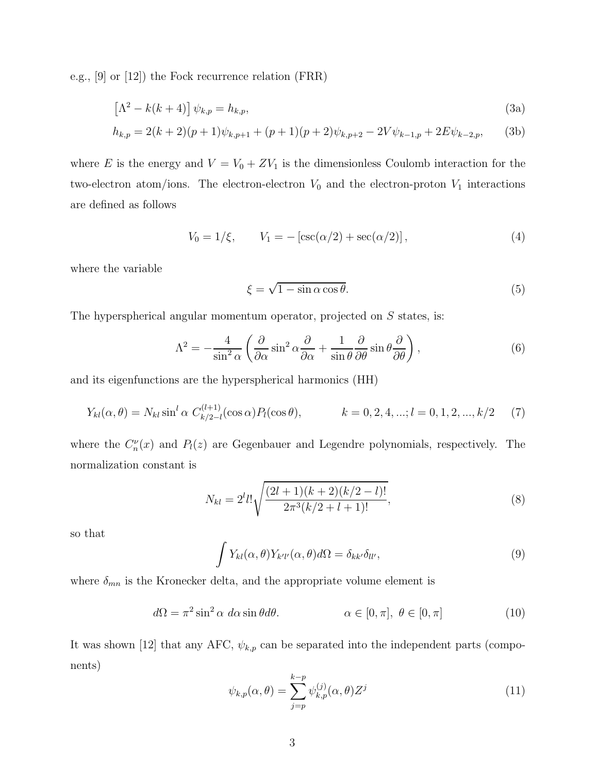e.g., [9] or [12]) the Fock recurrence relation (FRR)

$$
\left[\Lambda^2 - k(k+4)\right] \psi_{k,p} = h_{k,p},\tag{3a}
$$

$$
h_{k,p} = 2(k+2)(p+1)\psi_{k,p+1} + (p+1)(p+2)\psi_{k,p+2} - 2V\psi_{k-1,p} + 2E\psi_{k-2,p},
$$
 (3b)

where E is the energy and  $V = V_0 + ZV_1$  is the dimensionless Coulomb interaction for the two-electron atom/ions. The electron-electron  $V_0$  and the electron-proton  $V_1$  interactions are defined as follows

$$
V_0 = 1/\xi, \qquad V_1 = -\left[\csc(\alpha/2) + \sec(\alpha/2)\right],\tag{4}
$$

where the variable

$$
\xi = \sqrt{1 - \sin \alpha \cos \theta}.\tag{5}
$$

The hyperspherical angular momentum operator, projected on  $S$  states, is:

$$
\Lambda^2 = -\frac{4}{\sin^2 \alpha} \left( \frac{\partial}{\partial \alpha} \sin^2 \alpha \frac{\partial}{\partial \alpha} + \frac{1}{\sin \theta} \frac{\partial}{\partial \theta} \sin \theta \frac{\partial}{\partial \theta} \right),\tag{6}
$$

and its eigenfunctions are the hyperspherical harmonics (HH)

$$
Y_{kl}(\alpha,\theta) = N_{kl} \sin^l \alpha \ C_{k/2-l}^{(l+1)}(\cos \alpha) P_l(\cos \theta), \qquad k = 0, 2, 4, \dots; l = 0, 1, 2, \dots, k/2 \tag{7}
$$

where the  $C_n^{\nu}(x)$  and  $P_l(z)$  are Gegenbauer and Legendre polynomials, respectively. The normalization constant is

$$
N_{kl} = 2^l l! \sqrt{\frac{(2l+1)(k+2)(k/2-l)!}{2\pi^3 (k/2+l+1)!}},
$$
\n(8)

so that

$$
\int Y_{kl}(\alpha,\theta)Y_{k'l'}(\alpha,\theta)d\Omega = \delta_{kk'}\delta_{ll'},
$$
\n(9)

where  $\delta_{mn}$  is the Kronecker delta, and the appropriate volume element is

$$
d\Omega = \pi^2 \sin^2 \alpha \, d\alpha \sin \theta d\theta. \qquad \alpha \in [0, \pi], \ \theta \in [0, \pi] \tag{10}
$$

It was shown [12] that any AFC,  $\psi_{k,p}$  can be separated into the independent parts (components)

$$
\psi_{k,p}(\alpha,\theta) = \sum_{j=p}^{k-p} \psi_{k,p}^{(j)}(\alpha,\theta) Z^j
$$
\n(11)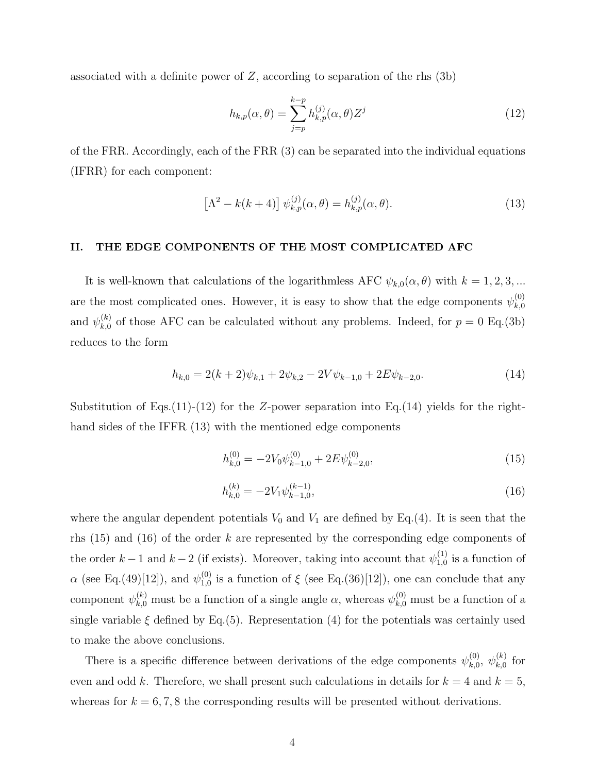associated with a definite power of  $Z$ , according to separation of the rhs  $(3b)$ 

$$
h_{k,p}(\alpha,\theta) = \sum_{j=p}^{k-p} h_{k,p}^{(j)}(\alpha,\theta) Z^j
$$
\n(12)

of the FRR. Accordingly, each of the FRR (3) can be separated into the individual equations (IFRR) for each component:

$$
\[\Lambda^2 - k(k+4)\] \psi_{k,p}^{(j)}(\alpha,\theta) = h_{k,p}^{(j)}(\alpha,\theta). \tag{13}
$$

#### II. THE EDGE COMPONENTS OF THE MOST COMPLICATED AFC

It is well-known that calculations of the logarithmless AFC  $\psi_{k,0}(\alpha,\theta)$  with  $k = 1, 2, 3, ...$ are the most complicated ones. However, it is easy to show that the edge components  $\psi_{k,0}^{(0)}$  $_{k,0}$ and  $\psi_{k,0}^{(k)}$  $\kappa_{k,0}^{(\kappa)}$  of those AFC can be calculated without any problems. Indeed, for  $p = 0$  Eq.(3b) reduces to the form

$$
h_{k,0} = 2(k+2)\psi_{k,1} + 2\psi_{k,2} - 2V\psi_{k-1,0} + 2E\psi_{k-2,0}.
$$
 (14)

Substitution of Eqs.(11)-(12) for the Z-power separation into Eq.(14) yields for the righthand sides of the IFFR (13) with the mentioned edge components

$$
h_{k,0}^{(0)} = -2V_0 \psi_{k-1,0}^{(0)} + 2E \psi_{k-2,0}^{(0)},
$$
\n(15)

$$
h_{k,0}^{(k)} = -2V_1 \psi_{k-1,0}^{(k-1)},\tag{16}
$$

where the angular dependent potentials  $V_0$  and  $V_1$  are defined by Eq.(4). It is seen that the rhs  $(15)$  and  $(16)$  of the order k are represented by the corresponding edge components of the order  $k-1$  and  $k-2$  (if exists). Moreover, taking into account that  $\psi_{1,0}^{(1)}$  $_{1,0}^{(1)}$  is a function of  $\alpha$  (see Eq.(49)[12]), and  $\psi_{1,0}^{(0)}$  $_{1,0}^{(0)}$  is a function of  $\xi$  (see Eq.(36)[12]), one can conclude that any component  $\psi_{k,0}^{(k)}$  must be a function of a single angle  $\alpha$ , whereas  $\psi_{k,0}^{(0)}$  must be a function of a single variable  $\xi$  defined by Eq.(5). Representation (4) for the potentials was certainly used to make the above conclusions.

There is a specific difference between derivations of the edge components  $\psi_{k,0}^{(0)}$  $_{k,0}^{(0)},\ \psi_{k,0}^{(k)}$  $_{k,0}^{\left( \kappa\right) }$  for even and odd k. Therefore, we shall present such calculations in details for  $k = 4$  and  $k = 5$ , whereas for  $k = 6, 7, 8$  the corresponding results will be presented without derivations.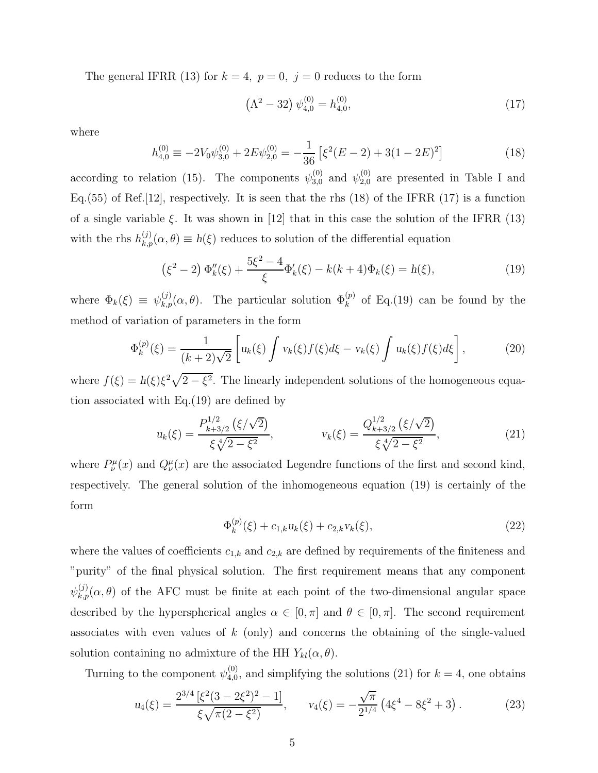The general IFRR (13) for  $k = 4$ ,  $p = 0$ ,  $j = 0$  reduces to the form

$$
\left(\Lambda^2 - 32\right)\psi_{4,0}^{(0)} = h_{4,0}^{(0)},\tag{17}
$$

where

$$
h_{4,0}^{(0)} \equiv -2V_0\psi_{3,0}^{(0)} + 2E\psi_{2,0}^{(0)} = -\frac{1}{36} \left[ \xi^2 (E-2) + 3(1-2E)^2 \right] \tag{18}
$$

according to relation (15). The components  $\psi_{3,0}^{(0)}$  and  $\psi_{2,0}^{(0)}$  are presented in Table I and Eq.  $(55)$  of Ref. [12], respectively. It is seen that the rhs  $(18)$  of the IFRR  $(17)$  is a function of a single variable  $\xi$ . It was shown in [12] that in this case the solution of the IFRR (13) with the rhs  $h_{k,p}^{(j)}(\alpha, \theta) \equiv h(\xi)$  reduces to solution of the differential equation

$$
(\xi^2 - 2) \Phi''_k(\xi) + \frac{5\xi^2 - 4}{\xi} \Phi'_k(\xi) - k(k+4)\Phi_k(\xi) = h(\xi),
$$
\n(19)

where  $\Phi_k(\xi) \equiv \psi_{k,p}^{(j)}(\alpha, \theta)$ . The particular solution  $\Phi_k^{(p)}$  of Eq.(19) can be found by the method of variation of parameters in the form

$$
\Phi_k^{(p)}(\xi) = \frac{1}{(k+2)\sqrt{2}} \left[ u_k(\xi) \int v_k(\xi) f(\xi) d\xi - v_k(\xi) \int u_k(\xi) f(\xi) d\xi \right],\tag{20}
$$

where  $f(\xi) = h(\xi)\xi^2\sqrt{2-\xi^2}$ . The linearly independent solutions of the homogeneous equation associated with Eq.(19) are defined by

$$
u_k(\xi) = \frac{P_{k+3/2}^{1/2}(\xi/\sqrt{2})}{\xi \sqrt[4]{2 - \xi^2}}, \qquad v_k(\xi) = \frac{Q_{k+3/2}^{1/2}(\xi/\sqrt{2})}{\xi \sqrt[4]{2 - \xi^2}}, \tag{21}
$$

where  $P^{\mu}_{\nu}(x)$  and  $Q^{\mu}_{\nu}(x)$  are the associated Legendre functions of the first and second kind, respectively. The general solution of the inhomogeneous equation (19) is certainly of the form

$$
\Phi_k^{(p)}(\xi) + c_{1,k} u_k(\xi) + c_{2,k} v_k(\xi), \tag{22}
$$

where the values of coefficients  $c_{1,k}$  and  $c_{2,k}$  are defined by requirements of the finiteness and "purity" of the final physical solution. The first requirement means that any component  $\psi_{k,p}^{(j)}(\alpha, \theta)$  of the AFC must be finite at each point of the two-dimensional angular space described by the hyperspherical angles  $\alpha \in [0, \pi]$  and  $\theta \in [0, \pi]$ . The second requirement associates with even values of  $k$  (only) and concerns the obtaining of the single-valued solution containing no admixture of the HH  $Y_{kl}(\alpha, \theta)$ .

Turning to the component  $\psi_{4,0}^{(0)}$  $_{4,0}^{(0)}$ , and simplifying the solutions (21) for  $k = 4$ , one obtains

$$
u_4(\xi) = \frac{2^{3/4} \left[\xi^2 (3 - 2\xi^2)^2 - 1\right]}{\xi \sqrt{\pi (2 - \xi^2)}}, \qquad v_4(\xi) = -\frac{\sqrt{\pi}}{2^{1/4}} \left(4\xi^4 - 8\xi^2 + 3\right). \tag{23}
$$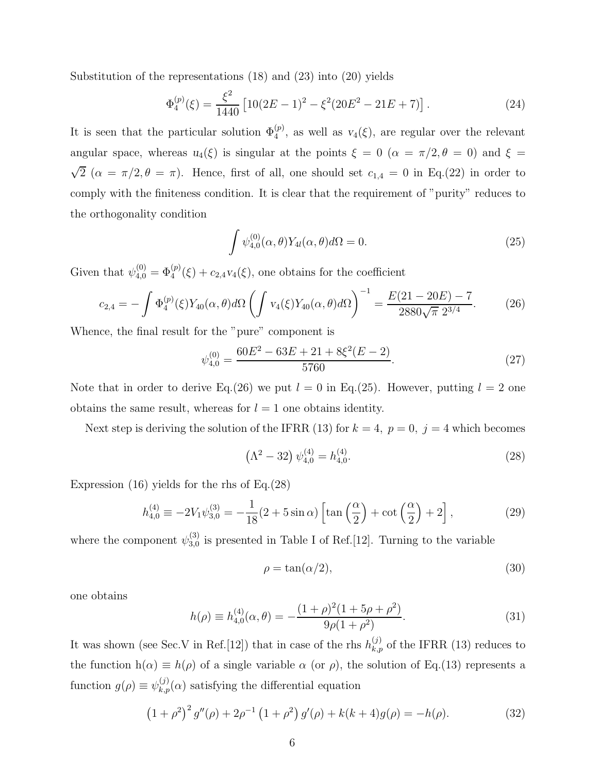Substitution of the representations (18) and (23) into (20) yields

$$
\Phi_4^{(p)}(\xi) = \frac{\xi^2}{1440} \left[ 10(2E - 1)^2 - \xi^2 (20E^2 - 21E + 7) \right]. \tag{24}
$$

It is seen that the particular solution  $\Phi_4^{(p)}$ , as well as  $v_4(\xi)$ , are regular over the relevant angular space, whereas  $u_4(\xi)$  is singular at the points  $\xi = 0$  ( $\alpha = \pi/2, \theta = 0$ ) and  $\xi =$  $\sqrt{2}$  ( $\alpha = \pi/2, \theta = \pi$ ). Hence, first of all, one should set  $c_{1,4} = 0$  in Eq.(22) in order to comply with the finiteness condition. It is clear that the requirement of "purity" reduces to the orthogonality condition

$$
\int \psi_{4,0}^{(0)}(\alpha,\theta)Y_{4l}(\alpha,\theta)d\Omega = 0.
$$
\n(25)

Given that  $\psi_{4,0}^{(0)} = \Phi_4^{(p)}(\xi) + c_{2,4}v_4(\xi)$ , one obtains for the coefficient

$$
c_{2,4} = -\int \Phi_4^{(p)}(\xi) Y_{40}(\alpha, \theta) d\Omega \left( \int v_4(\xi) Y_{40}(\alpha, \theta) d\Omega \right)^{-1} = \frac{E(21 - 20E) - 7}{2880\sqrt{\pi} 2^{3/4}}.
$$
 (26)

Whence, the final result for the "pure" component is

$$
\psi_{4,0}^{(0)} = \frac{60E^2 - 63E + 21 + 8\xi^2(E - 2)}{5760}.\tag{27}
$$

Note that in order to derive Eq.(26) we put  $l = 0$  in Eq.(25). However, putting  $l = 2$  one obtains the same result, whereas for  $l = 1$  one obtains identity.

Next step is deriving the solution of the IFRR (13) for  $k = 4$ ,  $p = 0$ ,  $j = 4$  which becomes

$$
\left(\Lambda^2 - 32\right)\psi_{4,0}^{(4)} = h_{4,0}^{(4)}.\tag{28}
$$

Expression (16) yields for the rhs of Eq.(28)

$$
h_{4,0}^{(4)} \equiv -2V_1\psi_{3,0}^{(3)} = -\frac{1}{18}(2+5\sin\alpha)\left[\tan\left(\frac{\alpha}{2}\right)+\cot\left(\frac{\alpha}{2}\right)+2\right],\tag{29}
$$

where the component  $\psi_{3,0}^{(3)}$  $_{3,0}^{(5)}$  is presented in Table I of Ref. [12]. Turning to the variable

$$
\rho = \tan(\alpha/2),\tag{30}
$$

one obtains

$$
h(\rho) \equiv h_{4,0}^{(4)}(\alpha, \theta) = -\frac{(1+\rho)^2 (1+5\rho+\rho^2)}{9\rho(1+\rho^2)}.
$$
\n(31)

It was shown (see Sec.V in Ref.[12]) that in case of the rhs  $h_{k,p}^{(j)}$  of the IFRR (13) reduces to the function  $h(\alpha) \equiv h(\rho)$  of a single variable  $\alpha$  (or  $\rho$ ), the solution of Eq.(13) represents a function  $g(\rho) \equiv \psi_{k,p}^{(j)}(\alpha)$  satisfying the differential equation

$$
(1+\rho^2)^2 g''(\rho) + 2\rho^{-1} (1+\rho^2) g'(\rho) + k(k+4)g(\rho) = -h(\rho).
$$
 (32)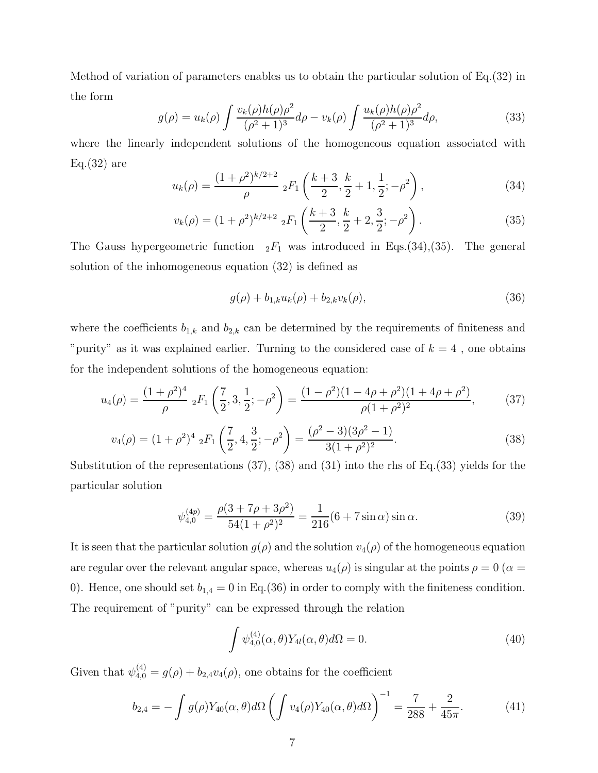Method of variation of parameters enables us to obtain the particular solution of Eq.(32) in the form

$$
g(\rho) = u_k(\rho) \int \frac{v_k(\rho)h(\rho)\rho^2}{(\rho^2 + 1)^3} d\rho - v_k(\rho) \int \frac{u_k(\rho)h(\rho)\rho^2}{(\rho^2 + 1)^3} d\rho,
$$
 (33)

where the linearly independent solutions of the homogeneous equation associated with  $Eq.(32)$  are

$$
u_k(\rho) = \frac{(1+\rho^2)^{k/2+2}}{\rho} \, _2F_1\left(\frac{k+3}{2}, \frac{k}{2}+1, \frac{1}{2}; -\rho^2\right),\tag{34}
$$

$$
v_k(\rho) = (1+\rho^2)^{k/2+2} \; _2F_1\left(\frac{k+3}{2}, \frac{k}{2}+2, \frac{3}{2}; -\rho^2\right). \tag{35}
$$

The Gauss hypergeometric function  $_2F_1$  was introduced in Eqs.(34),(35). The general solution of the inhomogeneous equation (32) is defined as

$$
g(\rho) + b_{1,k} u_k(\rho) + b_{2,k} v_k(\rho), \tag{36}
$$

where the coefficients  $b_{1,k}$  and  $b_{2,k}$  can be determined by the requirements of finiteness and "purity" as it was explained earlier. Turning to the considered case of  $k = 4$ , one obtains for the independent solutions of the homogeneous equation:

$$
u_4(\rho) = \frac{(1+\rho^2)^4}{\rho} \;_2F_1\left(\frac{7}{2}, 3, \frac{1}{2}; -\rho^2\right) = \frac{(1-\rho^2)(1-4\rho+\rho^2)(1+4\rho+\rho^2)}{\rho(1+\rho^2)^2},\tag{37}
$$

$$
v_4(\rho) = (1+\rho^2)^4 \, {}_2F_1\left(\frac{7}{2}, 4, \frac{3}{2}; -\rho^2\right) = \frac{(\rho^2-3)(3\rho^2-1)}{3(1+\rho^2)^2}.
$$
 (38)

Substitution of the representations (37), (38) and (31) into the rhs of Eq.(33) yields for the particular solution

$$
\psi_{4,0}^{(4p)} = \frac{\rho(3 + 7\rho + 3\rho^2)}{54(1 + \rho^2)^2} = \frac{1}{216}(6 + 7\sin\alpha)\sin\alpha.
$$
 (39)

It is seen that the particular solution  $g(\rho)$  and the solution  $v_4(\rho)$  of the homogeneous equation are regular over the relevant angular space, whereas  $u_4(\rho)$  is singular at the points  $\rho = 0$  ( $\alpha =$ 0). Hence, one should set  $b_{1,4} = 0$  in Eq.(36) in order to comply with the finiteness condition. The requirement of "purity" can be expressed through the relation

$$
\int \psi_{4,0}^{(4)}(\alpha,\theta)Y_{4l}(\alpha,\theta)d\Omega = 0.
$$
\n(40)

Given that  $\psi_{4,0}^{(4)} = g(\rho) + b_{2,4}v_4(\rho)$ , one obtains for the coefficient

$$
b_{2,4} = -\int g(\rho) Y_{40}(\alpha, \theta) d\Omega \left( \int v_4(\rho) Y_{40}(\alpha, \theta) d\Omega \right)^{-1} = \frac{7}{288} + \frac{2}{45\pi}.
$$
 (41)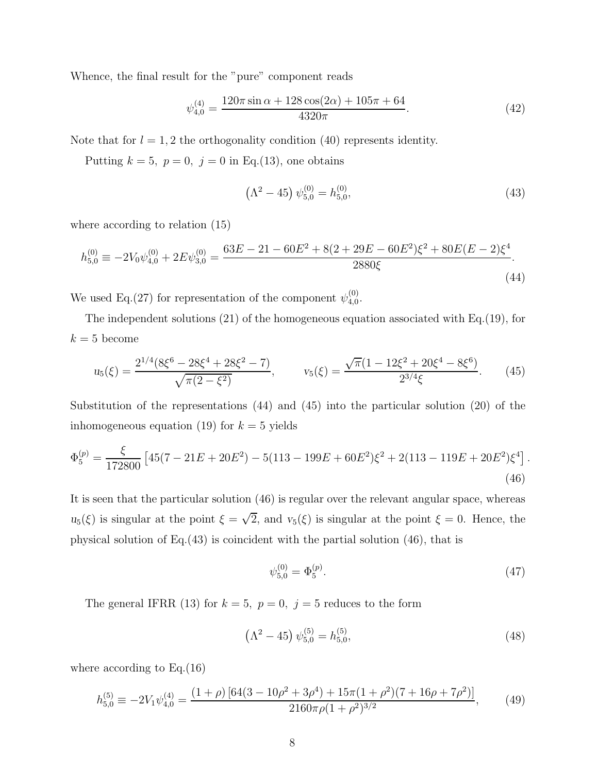Whence, the final result for the "pure" component reads

$$
\psi_{4,0}^{(4)} = \frac{120\pi\sin\alpha + 128\cos(2\alpha) + 105\pi + 64}{4320\pi}.\tag{42}
$$

Note that for  $l = 1, 2$  the orthogonality condition (40) represents identity.

Putting  $k = 5$ ,  $p = 0$ ,  $j = 0$  in Eq.(13), one obtains

$$
\left(\Lambda^2 - 45\right)\psi_{5,0}^{(0)} = h_{5,0}^{(0)},\tag{43}
$$

where according to relation (15)

$$
h_{5,0}^{(0)} \equiv -2V_0\psi_{4,0}^{(0)} + 2E\psi_{3,0}^{(0)} = \frac{63E - 21 - 60E^2 + 8(2 + 29E - 60E^2)\xi^2 + 80E(E - 2)\xi^4}{2880\xi}.
$$
\n(44)

We used Eq.(27) for representation of the component  $\psi_{4,0}^{(0)}$  $_{4,0}^{(0)}$ .

The independent solutions (21) of the homogeneous equation associated with Eq.(19), for  $k = 5$  become

$$
u_5(\xi) = \frac{2^{1/4}(8\xi^6 - 28\xi^4 + 28\xi^2 - 7)}{\sqrt{\pi(2 - \xi^2)}}, \qquad v_5(\xi) = \frac{\sqrt{\pi}(1 - 12\xi^2 + 20\xi^4 - 8\xi^6)}{2^{3/4}\xi}.
$$
 (45)

Substitution of the representations (44) and (45) into the particular solution (20) of the inhomogeneous equation (19) for  $k = 5$  yields

$$
\Phi_5^{(p)} = \frac{\xi}{172800} \left[ 45(7 - 21E + 20E^2) - 5(113 - 199E + 60E^2)\xi^2 + 2(113 - 119E + 20E^2)\xi^4 \right].
$$
\n(46)

It is seen that the particular solution (46) is regular over the relevant angular space, whereas  $u_5(\xi)$  is singular at the point  $\xi = \sqrt{2}$ , and  $v_5(\xi)$  is singular at the point  $\xi = 0$ . Hence, the physical solution of Eq.(43) is coincident with the partial solution (46), that is

$$
\psi_{5,0}^{(0)} = \Phi_5^{(p)}.\tag{47}
$$

The general IFRR (13) for  $k = 5$ ,  $p = 0$ ,  $j = 5$  reduces to the form

$$
\left(\Lambda^2 - 45\right)\psi_{5,0}^{(5)} = h_{5,0}^{(5)},\tag{48}
$$

where according to  $Eq.(16)$ 

$$
h_{5,0}^{(5)} \equiv -2V_1\psi_{4,0}^{(4)} = \frac{(1+\rho)\left[64(3-10\rho^2+3\rho^4)+15\pi(1+\rho^2)(7+16\rho+7\rho^2)\right]}{2160\pi\rho(1+\rho^2)^{3/2}},\tag{49}
$$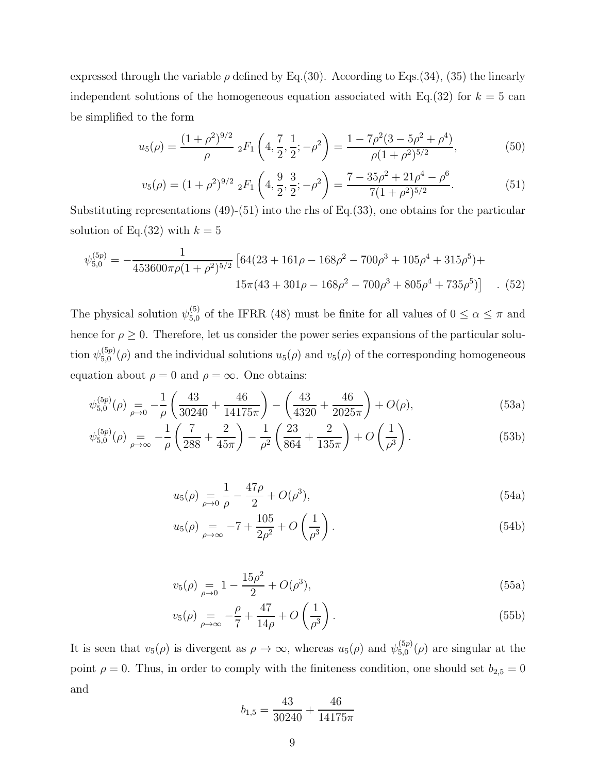expressed through the variable  $\rho$  defined by Eq.(30). According to Eqs.(34), (35) the linearly independent solutions of the homogeneous equation associated with Eq.(32) for  $k = 5$  can be simplified to the form

$$
u_5(\rho) = \frac{(1+\rho^2)^{9/2}}{\rho} \, {}_2F_1\left(4, \frac{7}{2}, \frac{1}{2}; -\rho^2\right) = \frac{1-7\rho^2(3-5\rho^2+\rho^4)}{\rho(1+\rho^2)^{5/2}},\tag{50}
$$

$$
v_5(\rho) = (1+\rho^2)^{9/2} \; _2F_1\left(4, \frac{9}{2}, \frac{3}{2}; -\rho^2\right) = \frac{7-35\rho^2 + 21\rho^4 - \rho^6}{7(1+\rho^2)^{5/2}}.
$$
 (51)

Substituting representations  $(49)-(51)$  into the rhs of Eq. $(33)$ , one obtains for the particular solution of Eq. (32) with  $k = 5$ 

$$
\psi_{5,0}^{(5p)} = -\frac{1}{453600\pi\rho(1+\rho^2)^{5/2}} \left[ 64(23+161\rho-168\rho^2-700\rho^3+105\rho^4+315\rho^5) + 15\pi(43+301\rho-168\rho^2-700\rho^3+805\rho^4+735\rho^5) \right] \quad . \tag{52}
$$

The physical solution  $\psi_{5,0}^{(5)}$  of the IFRR (48) must be finite for all values of  $0 \le \alpha \le \pi$  and hence for  $\rho \geq 0$ . Therefore, let us consider the power series expansions of the particular solution  $\psi_{5.0}^{(5p)}$  $_{5,0}^{(op)}(\rho)$  and the individual solutions  $u_5(\rho)$  and  $v_5(\rho)$  of the corresponding homogeneous equation about  $\rho = 0$  and  $\rho = \infty$ . One obtains:

$$
\psi_{5,0}^{(5p)}(\rho) = -\frac{1}{\rho} \left( \frac{43}{30240} + \frac{46}{14175\pi} \right) - \left( \frac{43}{4320} + \frac{46}{2025\pi} \right) + O(\rho),\tag{53a}
$$

$$
\psi_{5,0}^{(5p)}(\rho) = -\frac{1}{\rho} \left( \frac{7}{288} + \frac{2}{45\pi} \right) - \frac{1}{\rho^2} \left( \frac{23}{864} + \frac{2}{135\pi} \right) + O\left( \frac{1}{\rho^3} \right). \tag{53b}
$$

$$
u_5(\rho) = \frac{1}{\rho - 0} \frac{47\rho}{\rho} + O(\rho^3),\tag{54a}
$$

$$
u_5(\rho) = -7 + \frac{105}{2\rho^2} + O\left(\frac{1}{\rho^3}\right).
$$
 (54b)

$$
v_5(\rho) = 1 - \frac{15\rho^2}{2} + O(\rho^3),\tag{55a}
$$

$$
v_5(\rho) = -\frac{\rho}{7} + \frac{47}{14\rho} + O\left(\frac{1}{\rho^3}\right). \tag{55b}
$$

It is seen that  $v_5(\rho)$  is divergent as  $\rho \to \infty$ , whereas  $u_5(\rho)$  and  $\psi_{5,0}^{(5p)}$  $^{(3p)}_{5,0}(\rho)$  are singular at the point  $\rho = 0$ . Thus, in order to comply with the finiteness condition, one should set  $b_{2,5} = 0$ and

$$
b_{1,5} = \frac{43}{30240} + \frac{46}{14175\pi}
$$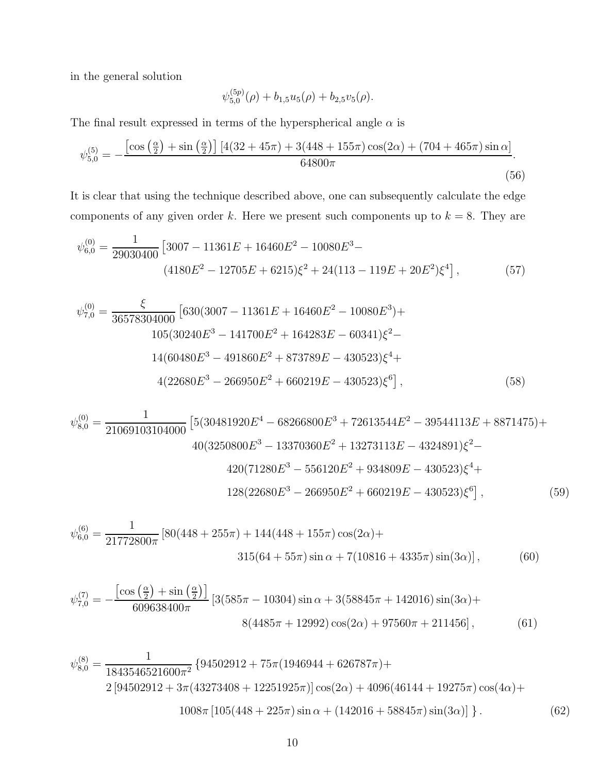in the general solution

$$
\psi_{5,0}^{(5p)}(\rho)+b_{1,5}u_5(\rho)+b_{2,5}v_5(\rho).
$$

The final result expressed in terms of the hyperspherical angle  $\alpha$  is

$$
\psi_{5,0}^{(5)} = -\frac{\left[\cos\left(\frac{\alpha}{2}\right) + \sin\left(\frac{\alpha}{2}\right)\right] \left[4(32 + 45\pi) + 3(448 + 155\pi)\cos(2\alpha) + (704 + 465\pi)\sin\alpha\right]}{64800\pi}.
$$
\n(56)

It is clear that using the technique described above, one can subsequently calculate the edge components of any given order k. Here we present such components up to  $k = 8$ . They are

$$
\psi_{6,0}^{(0)} = \frac{1}{29030400} \left[ 3007 - 11361E + 16460E^2 - 10080E^3 - \right. \tag{57}
$$
\n
$$
(4180E^2 - 12705E + 6215)\xi^2 + 24(113 - 119E + 20E^2)\xi^4 \right],
$$

$$
\psi_{7,0}^{(0)} = \frac{\xi}{36578304000} \left[ 630(3007 - 11361E + 16460E^2 - 10080E^3) + 105(30240E^3 - 141700E^2 + 164283E - 60341)\xi^2 - 14(60480E^3 - 491860E^2 + 873789E - 430523)\xi^4 + 4(22680E^3 - 266950E^2 + 660219E - 430523)\xi^6 \right],
$$
\n(58)

$$
\psi_{8,0}^{(0)} = \frac{1}{21069103104000} \left[ 5(30481920E^4 - 68266800E^3 + 72613544E^2 - 39544113E + 8871475) + 40(3250800E^3 - 13370360E^2 + 13273113E - 4324891)\xi^2 - 420(71280E^3 - 556120E^2 + 934809E - 430523)\xi^4 + 128(22680E^3 - 266950E^2 + 660219E - 430523)\xi^6 \right],
$$
 (59)

$$
\psi_{6,0}^{(6)} = \frac{1}{21772800\pi} \left[ 80(448 + 255\pi) + 144(448 + 155\pi) \cos(2\alpha) + \right. \\
\left. 315(64 + 55\pi) \sin \alpha + 7(10816 + 4335\pi) \sin(3\alpha) \right],\n \tag{60}
$$

$$
\psi_{7,0}^{(7)} = -\frac{\left[\cos\left(\frac{\alpha}{2}\right) + \sin\left(\frac{\alpha}{2}\right)\right]}{609638400\pi} \left[3(585\pi - 10304)\sin\alpha + 3(58845\pi + 142016)\sin(3\alpha) + 8(4485\pi + 12992)\cos(2\alpha) + 97560\pi + 211456\right],\tag{61}
$$

$$
\psi_{8,0}^{(8)} = \frac{1}{1843546521600\pi^2} \left\{ 94502912 + 75\pi (1946944 + 626787\pi) + 2 \left[ 94502912 + 3\pi (43273408 + 12251925\pi) \right] \cos(2\alpha) + 4096(46144 + 19275\pi) \cos(4\alpha) + 1008\pi \left[ 105(448 + 225\pi) \sin \alpha + (142016 + 58845\pi) \sin(3\alpha) \right] \right\}.
$$
 (62)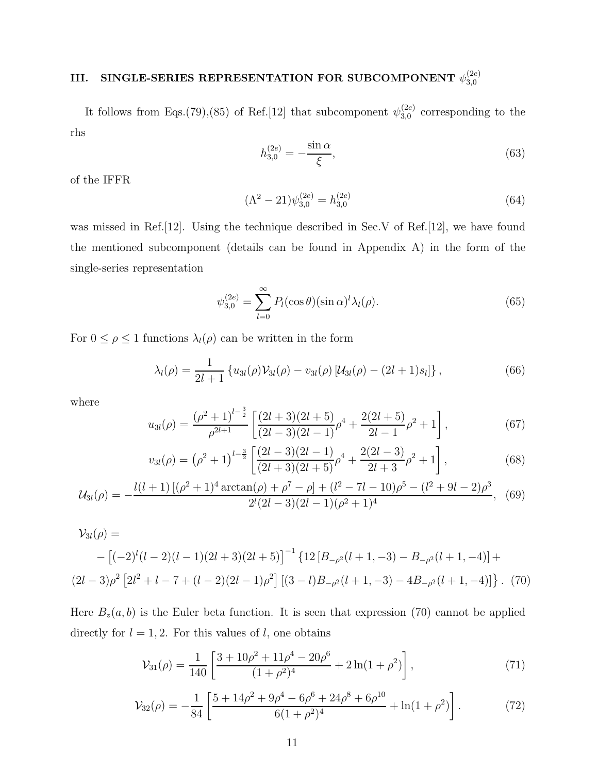#### III. SINGLE-SERIES REPRESENTATION FOR SUBCOMPONENT  $\psi_{3.0}^{(2e)}$ 3,0

It follows from Eqs.(79),(85) of Ref.[12] that subcomponent  $\psi_{3,0}^{(2e)}$  $_{3,0}^{(2e)}$  corresponding to the rhs

$$
h_{3,0}^{(2e)} = -\frac{\sin \alpha}{\xi},\tag{63}
$$

of the IFFR

$$
(\Lambda^2 - 21)\psi_{3,0}^{(2e)} = h_{3,0}^{(2e)}
$$
\n(64)

was missed in Ref. [12]. Using the technique described in Sec.V of Ref. [12], we have found the mentioned subcomponent (details can be found in Appendix A) in the form of the single-series representation

$$
\psi_{3,0}^{(2e)} = \sum_{l=0}^{\infty} P_l(\cos \theta)(\sin \alpha)^l \lambda_l(\rho). \tag{65}
$$

For  $0 \leq \rho \leq 1$  functions  $\lambda_l(\rho)$  can be written in the form

$$
\lambda_l(\rho) = \frac{1}{2l+1} \left\{ u_{3l}(\rho) \mathcal{V}_{3l}(\rho) - v_{3l}(\rho) \left[ \mathcal{U}_{3l}(\rho) - (2l+1)s_l \right] \right\},\tag{66}
$$

where

$$
u_{3l}(\rho) = \frac{(\rho^2 + 1)^{l - \frac{3}{2}}}{\rho^{2l + 1}} \left[ \frac{(2l + 3)(2l + 5)}{(2l - 3)(2l - 1)} \rho^4 + \frac{2(2l + 5)}{2l - 1} \rho^2 + 1 \right],\tag{67}
$$

$$
v_{3l}(\rho) = (\rho^2 + 1)^{l - \frac{3}{2}} \left[ \frac{(2l - 3)(2l - 1)}{(2l + 3)(2l + 5)} \rho^4 + \frac{2(2l - 3)}{2l + 3} \rho^2 + 1 \right],\tag{68}
$$

$$
\mathcal{U}_{3l}(\rho) = -\frac{l(l+1)\left[ (\rho^2 + 1)^4 \arctan(\rho) + \rho^7 - \rho \right] + (l^2 - 7l - 10)\rho^5 - (l^2 + 9l - 2)\rho^3}{2^l (2l - 3)(2l - 1)(\rho^2 + 1)^4},
$$
(69)

$$
\mathcal{V}_{3l}(\rho) = -\left[(-2)^{l}(l-2)(l-1)(2l+3)(2l+5)\right]^{-1} \left\{12\left[B_{-\rho^2}(l+1,-3) - B_{-\rho^2}(l+1,-4)\right] + (2l-3)\rho^2\left[2l^2+l-7+(l-2)(2l-1)\rho^2\right]\left[(3-l)B_{-\rho^2}(l+1,-3) - 4B_{-\rho^2}(l+1,-4)\right]\right\}.
$$
 (70)

Here  $B_z(a, b)$  is the Euler beta function. It is seen that expression (70) cannot be applied directly for  $l = 1, 2$ . For this values of l, one obtains

$$
\mathcal{V}_{31}(\rho) = \frac{1}{140} \left[ \frac{3 + 10\rho^2 + 11\rho^4 - 20\rho^6}{(1 + \rho^2)^4} + 2\ln(1 + \rho^2) \right],\tag{71}
$$

$$
\mathcal{V}_{32}(\rho) = -\frac{1}{84} \left[ \frac{5 + 14\rho^2 + 9\rho^4 - 6\rho^6 + 24\rho^8 + 6\rho^{10}}{6(1 + \rho^2)^4} + \ln(1 + \rho^2) \right].
$$
 (72)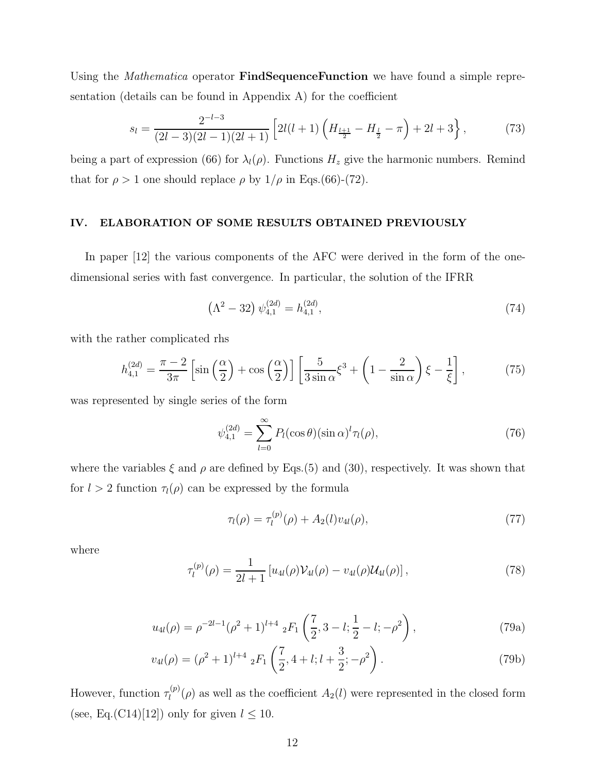Using the *Mathematica* operator **FindSequenceFunction** we have found a simple representation (details can be found in Appendix A) for the coefficient

$$
s_l = \frac{2^{-l-3}}{(2l-3)(2l-1)(2l+1)} \left[ 2l(l+1)\left(H_{\frac{l+1}{2}} - H_{\frac{l}{2}} - \pi\right) + 2l + 3\right],\tag{73}
$$

being a part of expression (66) for  $\lambda_l(\rho)$ . Functions  $H_z$  give the harmonic numbers. Remind that for  $\rho > 1$  one should replace  $\rho$  by  $1/\rho$  in Eqs.(66)-(72).

### IV. ELABORATION OF SOME RESULTS OBTAINED PREVIOUSLY

In paper [12] the various components of the AFC were derived in the form of the onedimensional series with fast convergence. In particular, the solution of the IFRR

$$
\left(\Lambda^2 - 32\right)\psi_{4,1}^{(2d)} = h_{4,1}^{(2d)},\tag{74}
$$

with the rather complicated rhs

$$
h_{4,1}^{(2d)} = \frac{\pi - 2}{3\pi} \left[ \sin\left(\frac{\alpha}{2}\right) + \cos\left(\frac{\alpha}{2}\right) \right] \left[ \frac{5}{3\sin\alpha} \xi^3 + \left(1 - \frac{2}{\sin\alpha}\right) \xi - \frac{1}{\xi} \right],\tag{75}
$$

was represented by single series of the form

$$
\psi_{4,1}^{(2d)} = \sum_{l=0}^{\infty} P_l(\cos \theta)(\sin \alpha)^l \tau_l(\rho), \tag{76}
$$

where the variables  $\xi$  and  $\rho$  are defined by Eqs.(5) and (30), respectively. It was shown that for  $l > 2$  function  $\tau_l(\rho)$  can be expressed by the formula

$$
\tau_l(\rho) = \tau_l^{(p)}(\rho) + A_2(l)v_{4l}(\rho), \tag{77}
$$

where

$$
\tau_l^{(p)}(\rho) = \frac{1}{2l+1} \left[ u_{4l}(\rho) \mathcal{V}_{4l}(\rho) - v_{4l}(\rho) \mathcal{U}_{4l}(\rho) \right],\tag{78}
$$

$$
u_{4l}(\rho) = \rho^{-2l-1}(\rho^2 + 1)^{l+4} {}_{2}F_1\left(\frac{7}{2}, 3-l; \frac{1}{2}-l; -\rho^2\right), \tag{79a}
$$

$$
v_{4l}(\rho) = (\rho^2 + 1)^{l+4} {}_{2}F_1\left(\frac{7}{2}, 4+l; l+\frac{3}{2}; -\rho^2\right). \tag{79b}
$$

However, function  $\tau_l^{(p)}$  $\ell_l^{(p)}(\rho)$  as well as the coefficient  $A_2(l)$  were represented in the closed form (see, Eq.(C14)[12]) only for given  $l \leq 10$ .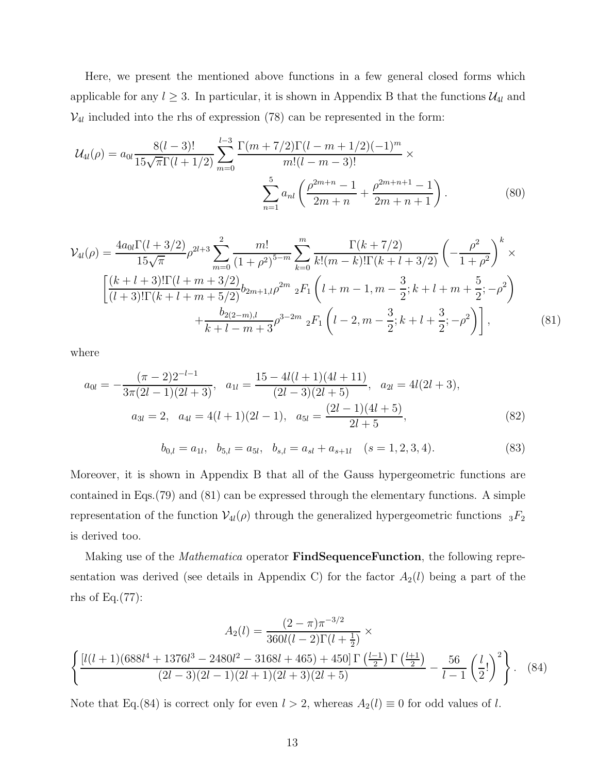Here, we present the mentioned above functions in a few general closed forms which applicable for any  $l \geq 3$ . In particular, it is shown in Appendix B that the functions  $\mathcal{U}_{4l}$  and  $V_{4l}$  included into the rhs of expression (78) can be represented in the form:

$$
\mathcal{U}_{4l}(\rho) = a_{0l} \frac{8(l-3)!}{15\sqrt{\pi}\Gamma(l+1/2)} \sum_{m=0}^{l-3} \frac{\Gamma(m+7/2)\Gamma(l-m+1/2)(-1)^m}{m!(l-m-3)!} \times \sum_{n=1}^5 a_{nl} \left(\frac{\rho^{2m+n}-1}{2m+n} + \frac{\rho^{2m+n+1}-1}{2m+n+1}\right).
$$
(80)

$$
\mathcal{V}_{4l}(\rho) = \frac{4a_{0l}\Gamma(l+3/2)}{15\sqrt{\pi}}\rho^{2l+3}\sum_{m=0}^{2} \frac{m!}{(1+\rho^{2})^{5-m}}\sum_{k=0}^{m} \frac{\Gamma(k+7/2)}{k!(m-k)!\Gamma(k+l+3/2)}\left(-\frac{\rho^{2}}{1+\rho^{2}}\right)^{k} \times \left[\frac{(k+l+3)!\Gamma(l+m+3/2)}{(l+3)!\Gamma(k+l+m+5/2)}b_{2m+1,l}\rho^{2m}{}_{2}F_{1}\left(l+m-1,m-\frac{3}{2};k+l+m+\frac{5}{2};-\rho^{2}\right) + \frac{b_{2(2-m),l}}{k+l-m+3}\rho^{3-2m}{}_{2}F_{1}\left(l-2,m-\frac{3}{2};k+l+\frac{3}{2};-\rho^{2}\right)\right],
$$
\n(81)

where

$$
a_{0l} = -\frac{(\pi - 2)2^{-l-1}}{3\pi(2l - 1)(2l + 3)}, \quad a_{1l} = \frac{15 - 4l(l + 1)(4l + 11)}{(2l - 3)(2l + 5)}, \quad a_{2l} = 4l(2l + 3),
$$
  

$$
a_{3l} = 2, \quad a_{4l} = 4(l + 1)(2l - 1), \quad a_{5l} = \frac{(2l - 1)(4l + 5)}{2l + 5},
$$
 (82)

$$
b_{0,l} = a_{1l}, \quad b_{5,l} = a_{5l}, \quad b_{s,l} = a_{sl} + a_{s+1l} \quad (s = 1, 2, 3, 4). \tag{83}
$$

Moreover, it is shown in Appendix B that all of the Gauss hypergeometric functions are contained in Eqs.(79) and (81) can be expressed through the elementary functions. A simple representation of the function  $V_{4l}(\rho)$  through the generalized hypergeometric functions  ${}_{3}F_{2}$ is derived too.

Making use of the *Mathematica* operator **FindSequenceFunction**, the following representation was derived (see details in Appendix C) for the factor  $A_2(l)$  being a part of the rhs of Eq. $(77)$ :

$$
A_2(l) = \frac{(2-\pi)\pi^{-3/2}}{360l(l-2)\Gamma(l+\frac{1}{2})} \times \left\{ \frac{[l(l+1)(688l^4+1376l^3-2480l^2-3168l+465)+450]\Gamma(\frac{l-1}{2})\Gamma(\frac{l+1}{2})}{(2l-3)(2l-1)(2l+1)(2l+3)(2l+5)} - \frac{56}{l-1} \left(\frac{l}{2}!\right)^2 \right\}.
$$
 (84)

Note that Eq.(84) is correct only for even  $l > 2$ , whereas  $A_2(l) \equiv 0$  for odd values of l.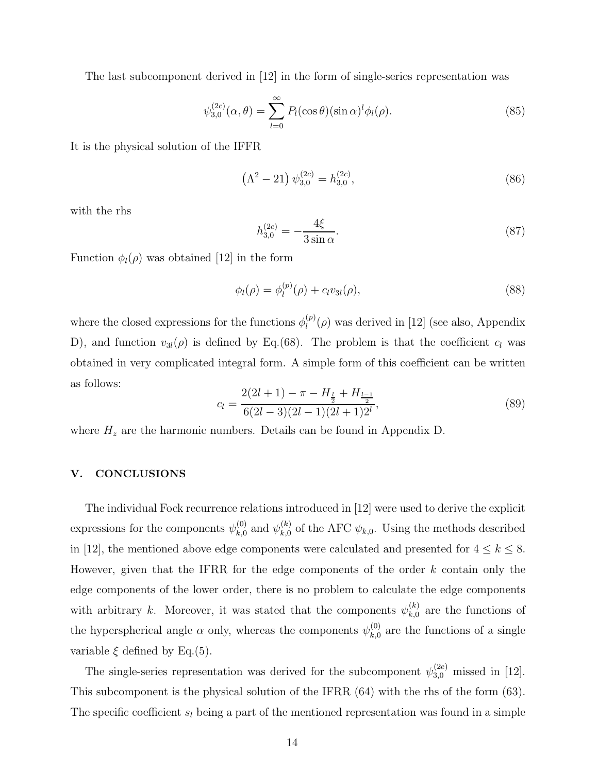The last subcomponent derived in [12] in the form of single-series representation was

$$
\psi_{3,0}^{(2c)}(\alpha,\theta) = \sum_{l=0}^{\infty} P_l(\cos\theta)(\sin\alpha)^l \phi_l(\rho). \tag{85}
$$

It is the physical solution of the IFFR

$$
\left(\Lambda^2 - 21\right)\psi_{3,0}^{(2c)} = h_{3,0}^{(2c)},\tag{86}
$$

with the rhs

$$
h_{3,0}^{(2c)} = -\frac{4\xi}{3\sin\alpha}.\tag{87}
$$

Function  $\phi_l(\rho)$  was obtained [12] in the form

$$
\phi_l(\rho) = \phi_l^{(p)}(\rho) + c_l v_{3l}(\rho), \tag{88}
$$

where the closed expressions for the functions  $\phi_l^{(p)}$  $\ell_l^{(p)}(\rho)$  was derived in [12] (see also, Appendix D), and function  $v_{3l}(\rho)$  is defined by Eq.(68). The problem is that the coefficient  $c_l$  was obtained in very complicated integral form. A simple form of this coefficient can be written as follows:

$$
c_l = \frac{2(2l+1) - \pi - H_{\frac{l}{2}} + H_{\frac{l-1}{2}}}{6(2l-3)(2l-1)(2l+1)2^l},\tag{89}
$$

where  $H_z$  are the harmonic numbers. Details can be found in Appendix D.

#### V. CONCLUSIONS

The individual Fock recurrence relations introduced in [12] were used to derive the explicit expressions for the components  $\psi_{k,0}^{(0)}$  $_{k,0}^{(0)}$  and  $\psi_{k,0}^{(k)}$  $\chi_{k,0}^{(k)}$  of the AFC  $\psi_{k,0}$ . Using the methods described in [12], the mentioned above edge components were calculated and presented for  $4 \leq k \leq 8$ . However, given that the IFRR for the edge components of the order  $k$  contain only the edge components of the lower order, there is no problem to calculate the edge components with arbitrary k. Moreover, it was stated that the components  $\psi_{k,0}^{(k)}$  $k,0<sub>k,0</sub>$  are the functions of the hyperspherical angle  $\alpha$  only, whereas the components  $\psi_{k,0}^{(0)}$  $_{k,0}^{(0)}$  are the functions of a single variable  $\xi$  defined by Eq.(5).

The single-series representation was derived for the subcomponent  $\psi_{3,0}^{(2e)}$  missed in [12]. This subcomponent is the physical solution of the IFRR (64) with the rhs of the form (63). The specific coefficient  $s_l$  being a part of the mentioned representation was found in a simple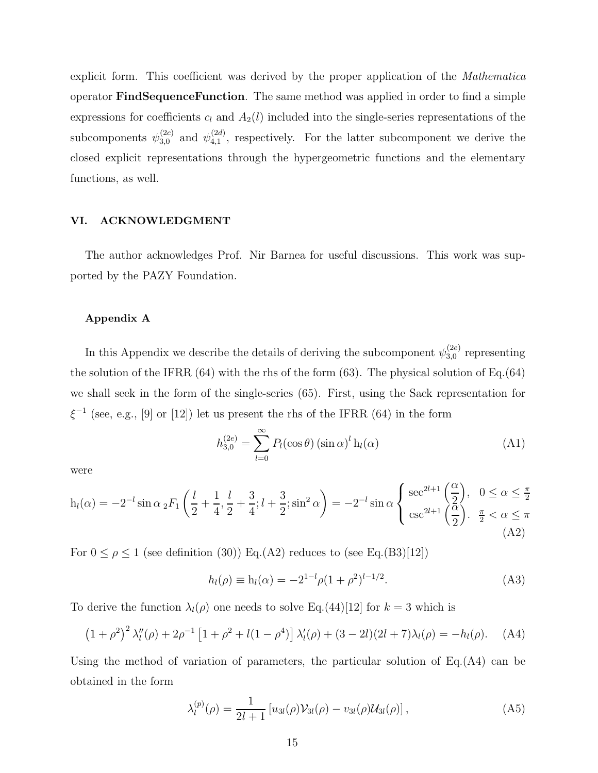explicit form. This coefficient was derived by the proper application of the Mathematica operator FindSequenceFunction. The same method was applied in order to find a simple expressions for coefficients  $c_l$  and  $A_2(l)$  included into the single-series representations of the subcomponents  $\psi_{3,0}^{(2c)}$  and  $\psi_{4,1}^{(2d)}$  $\binom{2a}{4,1}$ , respectively. For the latter subcomponent we derive the closed explicit representations through the hypergeometric functions and the elementary functions, as well.

#### VI. ACKNOWLEDGMENT

The author acknowledges Prof. Nir Barnea for useful discussions. This work was supported by the PAZY Foundation.

#### Appendix A

In this Appendix we describe the details of deriving the subcomponent  $\psi_{3,0}^{(2e)}$  $_{3,0}^{(2e)}$  representing the solution of the IFRR  $(64)$  with the rhs of the form  $(63)$ . The physical solution of Eq. $(64)$ we shall seek in the form of the single-series (65). First, using the Sack representation for  $\xi^{-1}$  (see, e.g., [9] or [12]) let us present the rhs of the IFRR (64) in the form

$$
h_{3,0}^{(2e)} = \sum_{l=0}^{\infty} P_l(\cos \theta) (\sin \alpha)^l h_l(\alpha)
$$
 (A1)

were

$$
h_l(\alpha) = -2^{-l} \sin \alpha \, {}_2F_1\left(\frac{l}{2} + \frac{1}{4}, \frac{l}{2} + \frac{3}{4}; l + \frac{3}{2}; \sin^2 \alpha\right) = -2^{-l} \sin \alpha \begin{cases} \sec^{2l+1}\left(\frac{\alpha}{2}\right), & 0 \le \alpha \le \frac{\pi}{2} \\ \csc^{2l+1}\left(\frac{\alpha}{2}\right). & \frac{\pi}{2} < \alpha \le \pi \end{cases}
$$
(A2)

For  $0 \le \rho \le 1$  (see definition (30)) Eq.(A2) reduces to (see Eq.(B3)[12])

$$
h_l(\rho) \equiv h_l(\alpha) = -2^{1-l}\rho(1+\rho^2)^{l-1/2}.
$$
 (A3)

To derive the function  $\lambda_l(\rho)$  one needs to solve Eq.(44)[12] for  $k = 3$  which is

$$
(1+\rho^2)^2 \lambda_l''(\rho) + 2\rho^{-1} \left[1+\rho^2 + l(1-\rho^4)\right] \lambda_l'(\rho) + (3-2l)(2l+7)\lambda_l(\rho) = -h_l(\rho). \quad (A4)
$$

Using the method of variation of parameters, the particular solution of  $Eq.(A4)$  can be obtained in the form

$$
\lambda_l^{(p)}(\rho) = \frac{1}{2l+1} \left[ u_{3l}(\rho) \mathcal{V}_{3l}(\rho) - v_{3l}(\rho) \mathcal{U}_{3l}(\rho) \right],\tag{A5}
$$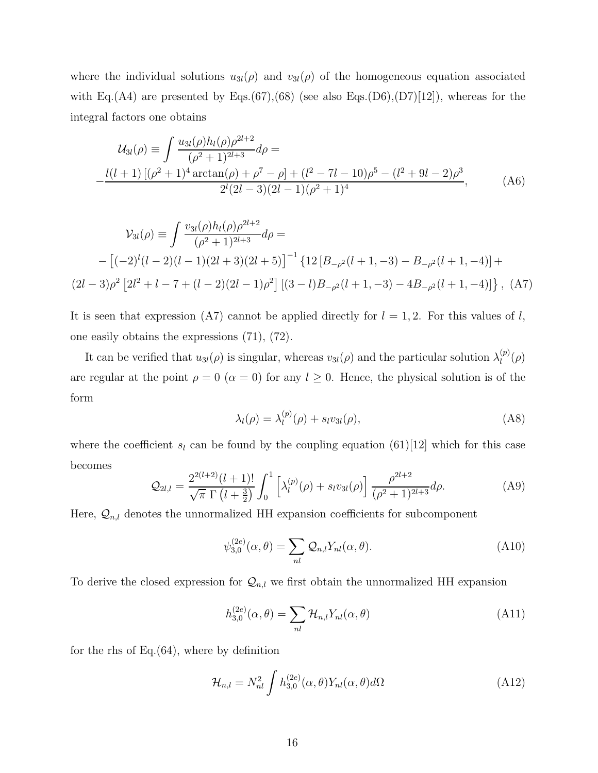where the individual solutions  $u_{3l}(\rho)$  and  $v_{3l}(\rho)$  of the homogeneous equation associated with Eq.(A4) are presented by Eqs.(67),(68) (see also Eqs.(D6),(D7)[12]), whereas for the integral factors one obtains

$$
\mathcal{U}_{3l}(\rho) \equiv \int \frac{u_{3l}(\rho)h_l(\rho)\rho^{2l+2}}{(\rho^2+1)^{2l+3}}d\rho =
$$
  
 
$$
-\frac{l(l+1)[(\rho^2+1)^4\arctan(\rho)+\rho^7-\rho]+(l^2-7l-10)\rho^5-(l^2+9l-2)\rho^3}{2^l(2l-3)(2l-1)(\rho^2+1)^4},
$$
 (A6)

$$
\mathcal{V}_{3l}(\rho) \equiv \int \frac{v_{3l}(\rho)h_l(\rho)\rho^{2l+2}}{(\rho^2+1)^{2l+3}} d\rho =
$$
  
 
$$
- \left[ (-2)^l (l-2)(l-1)(2l+3)(2l+5) \right]^{-1} \left\{ 12 \left[ B_{-\rho^2}(l+1,-3) - B_{-\rho^2}(l+1,-4) \right] +
$$
  
 
$$
(2l-3)\rho^2 \left[ 2l^2 + l - 7 + (l-2)(2l-1)\rho^2 \right] \left[ (3-l)B_{-\rho^2}(l+1,-3) - 4B_{-\rho^2}(l+1,-4) \right] \right\}, \text{ (A7)}
$$

It is seen that expression (A7) cannot be applied directly for  $l = 1, 2$ . For this values of l, one easily obtains the expressions (71), (72).

It can be verified that  $u_{3l}(\rho)$  is singular, whereas  $v_{3l}(\rho)$  and the particular solution  $\lambda_l^{(p)}$  $\binom{p}{l}(\rho)$ are regular at the point  $\rho = 0$  ( $\alpha = 0$ ) for any  $l \geq 0$ . Hence, the physical solution is of the form

$$
\lambda_l(\rho) = \lambda_l^{(p)}(\rho) + s_l v_{3l}(\rho), \tag{A8}
$$

where the coefficient  $s_l$  can be found by the coupling equation (61)[12] which for this case becomes

$$
Q_{2l,l} = \frac{2^{2(l+2)}(l+1)!}{\sqrt{\pi} \Gamma(l+\frac{3}{2})} \int_0^1 \left[ \lambda_l^{(p)}(\rho) + s_l v_{3l}(\rho) \right] \frac{\rho^{2l+2}}{(\rho^2+1)^{2l+3}} d\rho.
$$
 (A9)

Here,  $\mathcal{Q}_{n,l}$  denotes the unnormalized HH expansion coefficients for subcomponent

$$
\psi_{3,0}^{(2e)}(\alpha,\theta) = \sum_{nl} \mathcal{Q}_{n,l} Y_{nl}(\alpha,\theta). \tag{A10}
$$

To derive the closed expression for  $\mathcal{Q}_{n,l}$  we first obtain the unnormalized HH expansion

$$
h_{3,0}^{(2e)}(\alpha,\theta) = \sum_{nl} \mathcal{H}_{n,l} Y_{nl}(\alpha,\theta)
$$
\n(A11)

for the rhs of Eq. $(64)$ , where by definition

$$
\mathcal{H}_{n,l} = N_{nl}^2 \int h_{3,0}^{(2e)}(\alpha, \theta) Y_{nl}(\alpha, \theta) d\Omega \tag{A12}
$$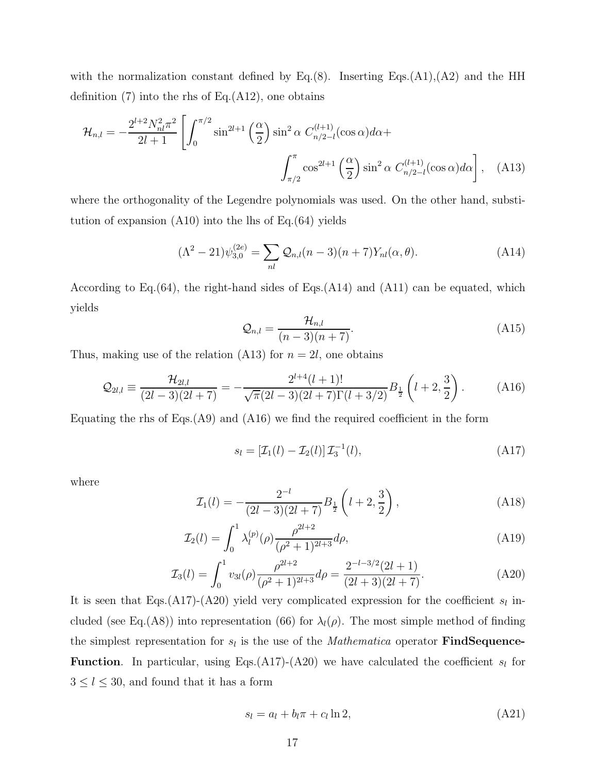with the normalization constant defined by Eq.(8). Inserting Eqs.(A1),(A2) and the HH definition  $(7)$  into the rhs of Eq. $(A12)$ , one obtains

$$
\mathcal{H}_{n,l} = -\frac{2^{l+2} N_{nl}^2 \pi^2}{2l+1} \left[ \int_0^{\pi/2} \sin^{2l+1} \left( \frac{\alpha}{2} \right) \sin^2 \alpha \ C_{n/2-l}^{(l+1)}(\cos \alpha) d\alpha + \int_{\pi/2}^{\pi} \cos^{2l+1} \left( \frac{\alpha}{2} \right) \sin^2 \alpha \ C_{n/2-l}^{(l+1)}(\cos \alpha) d\alpha \right], \quad (A13)
$$

where the orthogonality of the Legendre polynomials was used. On the other hand, substitution of expansion  $(A10)$  into the lhs of Eq. $(64)$  yields

$$
(\Lambda^2 - 21)\psi_{3,0}^{(2e)} = \sum_{nl} \mathcal{Q}_{n,l}(n-3)(n+7)Y_{nl}(\alpha, \theta).
$$
 (A14)

According to Eq.  $(64)$ , the right-hand sides of Eqs.  $(A14)$  and  $(A11)$  can be equated, which yields

$$
\mathcal{Q}_{n,l} = \frac{\mathcal{H}_{n,l}}{(n-3)(n+7)}.\tag{A15}
$$

Thus, making use of the relation (A13) for  $n = 2l$ , one obtains

$$
\mathcal{Q}_{2l,l} \equiv \frac{\mathcal{H}_{2l,l}}{(2l-3)(2l+7)} = -\frac{2^{l+4}(l+1)!}{\sqrt{\pi}(2l-3)(2l+7)\Gamma(l+3/2)} B_{\frac{1}{2}}\left(l+2,\frac{3}{2}\right). \tag{A16}
$$

Equating the rhs of Eqs. $(A9)$  and  $(A16)$  we find the required coefficient in the form

$$
s_l = \left[\mathcal{I}_1(l) - \mathcal{I}_2(l)\right]\mathcal{I}_3^{-1}(l),\tag{A17}
$$

where

$$
\mathcal{I}_1(l) = -\frac{2^{-l}}{(2l-3)(2l+7)} B_{\frac{1}{2}}\left(l+2, \frac{3}{2}\right),\tag{A18}
$$

$$
\mathcal{I}_2(l) = \int_0^1 \lambda_l^{(p)}(\rho) \frac{\rho^{2l+2}}{(\rho^2 + 1)^{2l+3}} d\rho,\tag{A19}
$$

$$
\mathcal{I}_3(l) = \int_0^1 v_{3l}(\rho) \frac{\rho^{2l+2}}{(\rho^2+1)^{2l+3}} d\rho = \frac{2^{-l-3/2}(2l+1)}{(2l+3)(2l+7)}.
$$
\n(A20)

It is seen that Eqs.(A17)-(A20) yield very complicated expression for the coefficient  $s_l$  included (see Eq.(A8)) into representation (66) for  $\lambda_l(\rho)$ . The most simple method of finding the simplest representation for  $s_l$  is the use of the *Mathematica* operator **FindSequence-Function.** In particular, using Eqs.(A17)-(A20) we have calculated the coefficient  $s<sub>l</sub>$  for  $3\leq l\leq 30,$  and found that it has a form

$$
s_l = a_l + b_l \pi + c_l \ln 2, \tag{A21}
$$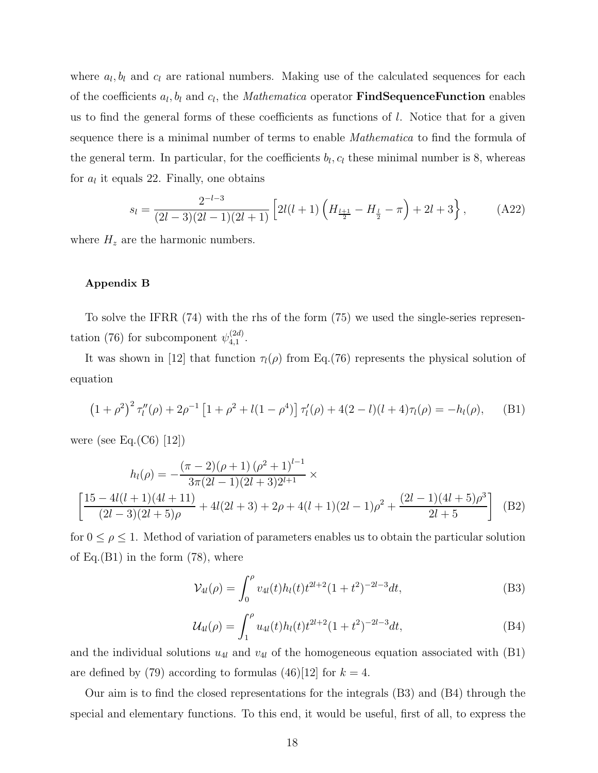where  $a_l, b_l$  and  $c_l$  are rational numbers. Making use of the calculated sequences for each of the coefficients  $a_l, b_l$  and  $c_l$ , the *Mathematica* operator **FindSequenceFunction** enables us to find the general forms of these coefficients as functions of l. Notice that for a given sequence there is a minimal number of terms to enable *Mathematica* to find the formula of the general term. In particular, for the coefficients  $b_l, c_l$  these minimal number is 8, whereas for  $a_l$  it equals 22. Finally, one obtains

$$
s_l = \frac{2^{-l-3}}{(2l-3)(2l-1)(2l+1)} \left[ 2l(l+1)\left(H_{\frac{l+1}{2}} - H_{\frac{l}{2}} - \pi\right) + 2l + 3\right],\tag{A22}
$$

where  $H_z$  are the harmonic numbers.

#### Appendix B

To solve the IFRR (74) with the rhs of the form (75) we used the single-series representation (76) for subcomponent  $\psi_{4,1}^{(2d)}$  $_{4,1}^{(2a)}$ .

It was shown in [12] that function  $\tau_l(\rho)$  from Eq.(76) represents the physical solution of equation

$$
(1+\rho^2)^2 \tau_l''(\rho) + 2\rho^{-1} \left[1+\rho^2 + l(1-\rho^4)\right] \tau_l'(\rho) + 4(2-l)(l+4)\tau_l(\rho) = -h_l(\rho), \quad \text{(B1)}
$$

were (see Eq. $(C6)$  [12])

$$
h_l(\rho) = -\frac{(\pi - 2)(\rho + 1)(\rho^2 + 1)^{l-1}}{3\pi (2l - 1)(2l + 3)2^{l+1}} \times \left[ \frac{15 - 4l(l + 1)(4l + 11)}{(2l - 3)(2l + 5)\rho} + 4l(2l + 3) + 2\rho + 4(l + 1)(2l - 1)\rho^2 + \frac{(2l - 1)(4l + 5)\rho^3}{2l + 5} \right] \tag{B2}
$$

for  $0 \leq \rho \leq 1$ . Method of variation of parameters enables us to obtain the particular solution of Eq. $(B1)$  in the form  $(78)$ , where

$$
\mathcal{V}_{4l}(\rho) = \int_0^{\rho} v_{4l}(t) h_l(t) t^{2l+2} (1+t^2)^{-2l-3} dt,
$$
\n(B3)

$$
\mathcal{U}_{4l}(\rho) = \int_1^{\rho} u_{4l}(t) h_l(t) t^{2l+2} (1+t^2)^{-2l-3} dt, \tag{B4}
$$

and the individual solutions  $u_{4l}$  and  $v_{4l}$  of the homogeneous equation associated with (B1) are defined by (79) according to formulas (46)[12] for  $k = 4$ .

Our aim is to find the closed representations for the integrals (B3) and (B4) through the special and elementary functions. To this end, it would be useful, first of all, to express the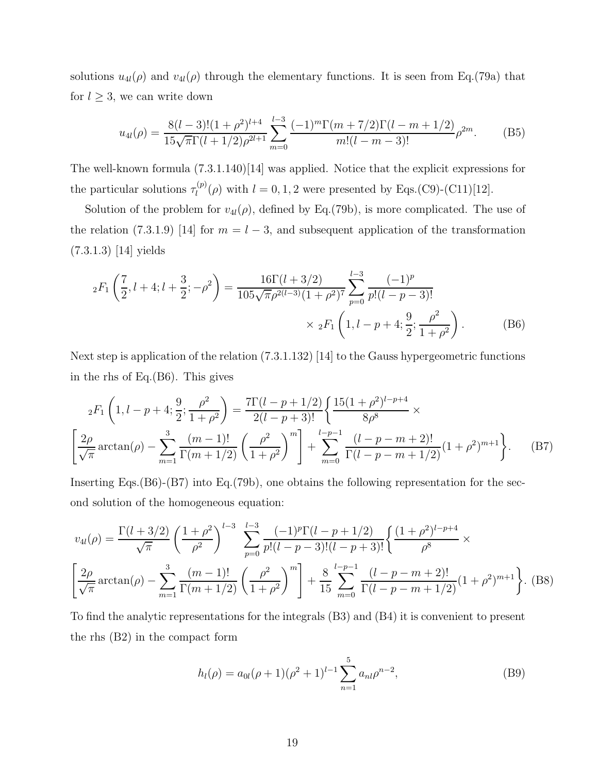solutions  $u_{4l}(\rho)$  and  $v_{4l}(\rho)$  through the elementary functions. It is seen from Eq.(79a) that for  $l \geq 3$ , we can write down

$$
u_{4l}(\rho) = \frac{8(l-3)!(1+\rho^2)^{l+4}}{15\sqrt{\pi}\Gamma(l+1/2)\rho^{2l+1}} \sum_{m=0}^{l-3} \frac{(-1)^m \Gamma(m+7/2)\Gamma(l-m+1/2)}{m!(l-m-3)!} \rho^{2m}.
$$
 (B5)

The well-known formula (7.3.1.140)[14] was applied. Notice that the explicit expressions for the particular solutions  $\tau_l^{(p)}$  $\mathcal{L}_l^{(p)}(\rho)$  with  $l = 0, 1, 2$  were presented by Eqs.(C9)-(C11)[12].

Solution of the problem for  $v_{4l}(\rho)$ , defined by Eq.(79b), is more complicated. The use of the relation (7.3.1.9) [14] for  $m = l - 3$ , and subsequent application of the transformation (7.3.1.3) [14] yields

$$
{}_{2}F_{1}\left(\frac{7}{2},l+4;l+\frac{3}{2};-\rho^{2}\right) = \frac{16\Gamma(l+3/2)}{105\sqrt{\pi}\rho^{2(l-3)}(1+\rho^{2})^{7}}\sum_{p=0}^{l-3}\frac{(-1)^{p}}{p!(l-p-3)!} \times {}_{2}F_{1}\left(1,l-p+4;\frac{9}{2};\frac{\rho^{2}}{1+\rho^{2}}\right).
$$
 (B6)

Next step is application of the relation (7.3.1.132) [14] to the Gauss hypergeometric functions in the rhs of Eq.(B6). This gives

$$
{}_{2}F_{1}\left(1,l-p+4;\frac{9}{2};\frac{\rho^{2}}{1+\rho^{2}}\right) = \frac{7\Gamma(l-p+1/2)}{2(l-p+3)!} \left\{\frac{15(1+\rho^{2})^{l-p+4}}{8\rho^{8}} \times \left[\frac{2\rho}{\sqrt{\pi}}\arctan(\rho) - \sum_{m=1}^{3} \frac{(m-1)!}{\Gamma(m+1/2)} \left(\frac{\rho^{2}}{1+\rho^{2}}\right)^{m}\right] + \sum_{m=0}^{l-p-1} \frac{(l-p-m+2)!}{\Gamma(l-p-m+1/2)} (1+\rho^{2})^{m+1}\right\}.
$$
 (B7)

Inserting Eqs.(B6)-(B7) into Eq.(79b), one obtains the following representation for the second solution of the homogeneous equation:

$$
v_{4l}(\rho) = \frac{\Gamma(l+3/2)}{\sqrt{\pi}} \left(\frac{1+\rho^2}{\rho^2}\right)^{l-3} \sum_{p=0}^{l-3} \frac{(-1)^p \Gamma(l-p+1/2)}{p!(l-p-3)!(l-p+3)!} \left\{ \frac{(1+\rho^2)^{l-p+4}}{\rho^8} \times \left[ \frac{2\rho}{\sqrt{\pi}} \arctan(\rho) - \sum_{m=1}^3 \frac{(m-1)!}{\Gamma(m+1/2)} \left( \frac{\rho^2}{1+\rho^2} \right)^m \right] + \frac{8}{15} \sum_{m=0}^{l-p-1} \frac{(l-p-m+2)!}{\Gamma(l-p-m+1/2)} (1+\rho^2)^{m+1} \right\}.
$$
 (B8)

To find the analytic representations for the integrals (B3) and (B4) it is convenient to present the rhs (B2) in the compact form

$$
h_l(\rho) = a_{0l}(\rho + 1)(\rho^2 + 1)^{l-1} \sum_{n=1}^{5} a_{nl}\rho^{n-2},
$$
 (B9)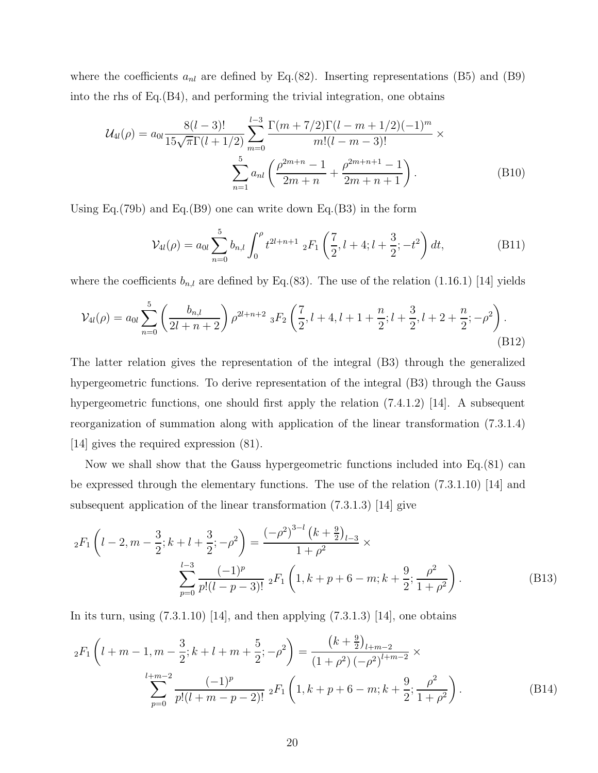where the coefficients  $a_{nl}$  are defined by Eq.(82). Inserting representations (B5) and (B9) into the rhs of Eq.(B4), and performing the trivial integration, one obtains

$$
\mathcal{U}_{4l}(\rho) = a_{0l} \frac{8(l-3)!}{15\sqrt{\pi}\Gamma(l+1/2)} \sum_{m=0}^{l-3} \frac{\Gamma(m+7/2)\Gamma(l-m+1/2)(-1)^m}{m!(l-m-3)!} \times \sum_{n=1}^5 a_{nl} \left(\frac{\rho^{2m+n}-1}{2m+n} + \frac{\rho^{2m+n+1}-1}{2m+n+1}\right).
$$
(B10)

Using Eq.(79b) and Eq.(B9) one can write down Eq.(B3) in the form

$$
\mathcal{V}_{4l}(\rho) = a_{0l} \sum_{n=0}^{5} b_{n,l} \int_{0}^{\rho} t^{2l+n+1} \, {}_{2}F_{1}\left(\frac{7}{2}, l+4; l+\frac{3}{2}; -t^{2}\right) dt, \tag{B11}
$$

where the coefficients  $b_{n,l}$  are defined by Eq.(83). The use of the relation (1.16.1) [14] yields

$$
\mathcal{V}_{4l}(\rho) = a_{0l} \sum_{n=0}^{5} \left( \frac{b_{n,l}}{2l+n+2} \right) \rho^{2l+n+2} {}_{3}F_{2} \left( \frac{7}{2}, l+4, l+1+\frac{n}{2}; l+\frac{3}{2}, l+2+\frac{n}{2}; -\rho^{2} \right). \tag{B12}
$$

The latter relation gives the representation of the integral (B3) through the generalized hypergeometric functions. To derive representation of the integral (B3) through the Gauss hypergeometric functions, one should first apply the relation (7.4.1.2) [14]. A subsequent reorganization of summation along with application of the linear transformation (7.3.1.4) [14] gives the required expression (81).

Now we shall show that the Gauss hypergeometric functions included into Eq.(81) can be expressed through the elementary functions. The use of the relation (7.3.1.10) [14] and subsequent application of the linear transformation (7.3.1.3) [14] give

$$
{}_{2}F_{1}\left(l-2,m-\frac{3}{2};k+l+\frac{3}{2};-\rho^{2}\right) = \frac{(-\rho^{2})^{3-l}\left(k+\frac{9}{2}\right)_{l-3}}{1+\rho^{2}} \times \sum_{p=0}^{l-3} \frac{(-1)^{p}}{p!(l-p-3)!} {}_{2}F_{1}\left(1,k+p+6-m;k+\frac{9}{2};\frac{\rho^{2}}{1+\rho^{2}}\right).
$$
 (B13)

In its turn, using  $(7.3.1.10)$  [14], and then applying  $(7.3.1.3)$  [14], one obtains

$$
{}_{2}F_{1}\left(l+m-1,m-\frac{3}{2};k+l+m+\frac{5}{2};-\rho^{2}\right) = \frac{\left(k+\frac{9}{2}\right)_{l+m-2}}{\left(1+\rho^{2}\right)\left(-\rho^{2}\right)^{l+m-2}} \times \sum_{p=0}^{l+m-2} \frac{(-1)^{p}}{p!(l+m-p-2)!} {}_{2}F_{1}\left(1,k+p+6-m;k+\frac{9}{2};\frac{\rho^{2}}{1+\rho^{2}}\right). \tag{B14}
$$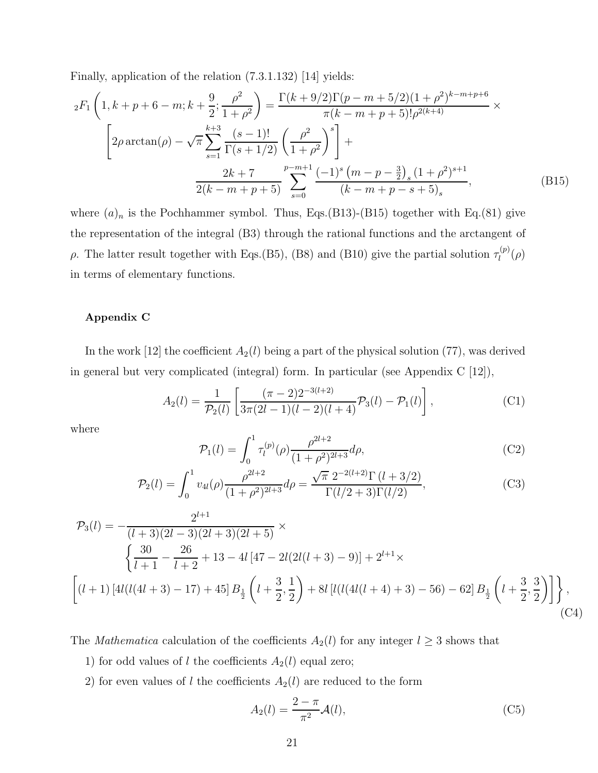Finally, application of the relation (7.3.1.132) [14] yields:

$$
{}_{2}F_{1}\left(1,k+p+6-m;k+\frac{9}{2};\frac{\rho^{2}}{1+\rho^{2}}\right) = \frac{\Gamma(k+9/2)\Gamma(p-m+5/2)(1+\rho^{2})^{k-m+p+6}}{\pi(k-m+p+5)!\rho^{2(k+4)}} \times \left[2\rho\arctan(\rho) - \sqrt{\pi}\sum_{s=1}^{k+3}\frac{(s-1)!}{\Gamma(s+1/2)}\left(\frac{\rho^{2}}{1+\rho^{2}}\right)^{s}\right] + \frac{2k+7}{2(k-m+p+5)}\sum_{s=0}^{p-m+1}\frac{(-1)^{s}(m-p-\frac{3}{2})_{s}(1+\rho^{2})^{s+1}}{(k-m+p-s+5)_{s}},
$$
(B15)

where  $(a)_n$  is the Pochhammer symbol. Thus, Eqs.(B13)-(B15) together with Eq.(81) give the representation of the integral (B3) through the rational functions and the arctangent of ρ. The latter result together with Eqs.(B5), (B8) and (B10) give the partial solution  $\tau_l^{(p)}$  $l^{(p)}(\rho)$ in terms of elementary functions.

#### Appendix C

In the work [12] the coefficient  $A_2(l)$  being a part of the physical solution (77), was derived in general but very complicated (integral) form. In particular (see Appendix C [12]),

$$
A_2(l) = \frac{1}{\mathcal{P}_2(l)} \left[ \frac{(\pi - 2)2^{-3(l+2)}}{3\pi (2l-1)(l-2)(l+4)} \mathcal{P}_3(l) - \mathcal{P}_1(l) \right],\tag{C1}
$$

where

$$
\mathcal{P}_1(l) = \int_0^1 \tau_l^{(p)}(\rho) \frac{\rho^{2l+2}}{(1+\rho^2)^{2l+3}} d\rho,
$$
\n(C2)

$$
\mathcal{P}_2(l) = \int_0^1 v_{4l}(\rho) \frac{\rho^{2l+2}}{(1+\rho^2)^{2l+3}} d\rho = \frac{\sqrt{\pi} 2^{-2(l+2)} \Gamma(l+3/2)}{\Gamma(l/2+3) \Gamma(l/2)},
$$
(C3)

$$
\mathcal{P}_3(l) = -\frac{2^{l+1}}{(l+3)(2l-3)(2l+3)(2l+5)} \times \left\{ \frac{30}{l+1} - \frac{26}{l+2} + 13 - 4l \left[ 47 - 2l(2l(l+3) - 9) \right] + 2^{l+1} \times \left[ (l+1) \left[ 4l(l(4l+3) - 17) + 45 \right] B_{\frac{1}{2}} \left( l + \frac{3}{2}, \frac{1}{2} \right) + 8l \left[ l(l(4l(l+4) + 3) - 56) - 62 \right] B_{\frac{1}{2}} \left( l + \frac{3}{2}, \frac{3}{2} \right) \right] \right\},\tag{C4}
$$

The *Mathematica* calculation of the coefficients  $A_2(l)$  for any integer  $l \geq 3$  shows that

- 1) for odd values of l the coefficients  $A_2(l)$  equal zero;
- 2) for even values of l the coefficients  $A_2(l)$  are reduced to the form

$$
A_2(l) = \frac{2 - \pi}{\pi^2} \mathcal{A}(l),\tag{C5}
$$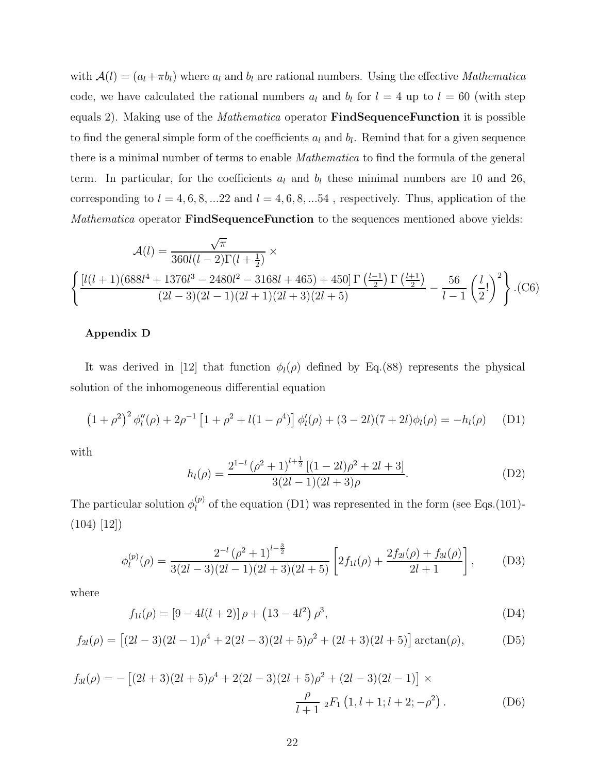with  $\mathcal{A}(l) = (a_l + \pi b_l)$  where  $a_l$  and  $b_l$  are rational numbers. Using the effective *Mathematica* code, we have calculated the rational numbers  $a_l$  and  $b_l$  for  $l = 4$  up to  $l = 60$  (with step equals 2). Making use of the *Mathematica* operator **FindSequenceFunction** it is possible to find the general simple form of the coefficients  $a_l$  and  $b_l$ . Remind that for a given sequence there is a minimal number of terms to enable Mathematica to find the formula of the general term. In particular, for the coefficients  $a_l$  and  $b_l$  these minimal numbers are 10 and 26, corresponding to  $l = 4, 6, 8, ... 22$  and  $l = 4, 6, 8, ... 54$ , respectively. Thus, application of the Mathematica operator **FindSequenceFunction** to the sequences mentioned above yields:

$$
\mathcal{A}(l) = \frac{\sqrt{\pi}}{360l(l-2)\Gamma(l+\frac{1}{2})} \times \left\{ \frac{\left[l(l+1)(688l^4+1376l^3-2480l^2-3168l+465)+450\right]\Gamma\left(\frac{l-1}{2}\right)\Gamma\left(\frac{l+1}{2}\right)}{(2l-3)(2l-1)(2l+1)(2l+3)(2l+5)} - \frac{56}{l-1}\left(\frac{l}{2}!\right)^2 \right\} .(C6)
$$

### Appendix D

It was derived in [12] that function  $\phi_l(\rho)$  defined by Eq.(88) represents the physical solution of the inhomogeneous differential equation

$$
(1+\rho^2)^2 \phi_l''(\rho) + 2\rho^{-1} \left[1+\rho^2 + l(1-\rho^4)\right] \phi_l'(\rho) + (3-2l)(7+2l)\phi_l(\rho) = -h_l(\rho) \tag{D1}
$$

with

$$
h_l(\rho) = \frac{2^{1-l} (\rho^2 + 1)^{l + \frac{1}{2}} [(1 - 2l)\rho^2 + 2l + 3]}{3(2l - 1)(2l + 3)\rho}.
$$
 (D2)

The particular solution  $\phi_l^{(p)}$  $\ell_l^{(p)}$  of the equation (D1) was represented in the form (see Eqs.(101)- $(104)$  [12])

$$
\phi_l^{(p)}(\rho) = \frac{2^{-l} (\rho^2 + 1)^{l - \frac{3}{2}}}{3(2l - 3)(2l - 1)(2l + 3)(2l + 5)} \left[ 2f_{1l}(\rho) + \frac{2f_{2l}(\rho) + f_{3l}(\rho)}{2l + 1} \right],\tag{D3}
$$

where

$$
f_{1l}(\rho) = [9 - 4l(l+2)]\rho + (13 - 4l^2)\rho^3,
$$
 (D4)

$$
f_{2l}(\rho) = [(2l-3)(2l-1)\rho^4 + 2(2l-3)(2l+5)\rho^2 + (2l+3)(2l+5)] \arctan(\rho), \tag{D5}
$$

$$
f_{3l}(\rho) = -\left[ (2l+3)(2l+5)\rho^4 + 2(2l-3)(2l+5)\rho^2 + (2l-3)(2l-1) \right] \times
$$
  

$$
\frac{\rho}{l+1} {}_2F_1\left(1, l+1; l+2; -\rho^2\right). \tag{D6}
$$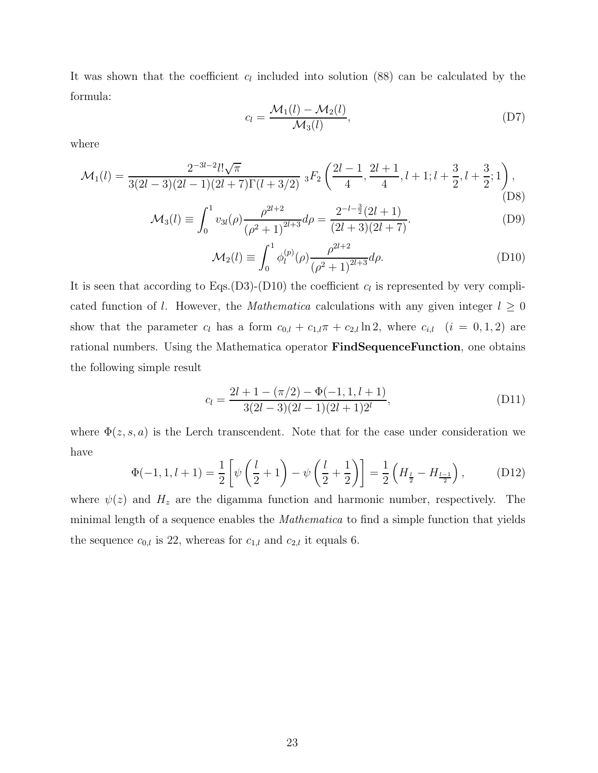It was shown that the coefficient  $c_l$  included into solution (88) can be calculated by the formula:

$$
c_l = \frac{\mathcal{M}_1(l) - \mathcal{M}_2(l)}{\mathcal{M}_3(l)},
$$
\n(D7)

where

$$
\mathcal{M}_1(l) = \frac{2^{-3l-2}l!\sqrt{\pi}}{3(2l-3)(2l-1)(2l+7)\Gamma(l+3/2)} \; {}_3F_2\left(\frac{2l-1}{4}, \frac{2l+1}{4}, l+1; l+\frac{3}{2}, l+\frac{3}{2}; 1\right),
$$
\n(D8)

$$
\mathcal{M}_3(l) \equiv \int_0^1 v_{3l}(\rho) \frac{\rho^{2l+2}}{(\rho^2+1)^{2l+3}} d\rho = \frac{2^{-l-\frac{3}{2}}(2l+1)}{(2l+3)(2l+7)}.
$$
\n(D9)

$$
\mathcal{M}_2(l) \equiv \int_0^1 \phi_l^{(p)}(\rho) \frac{\rho^{2l+2}}{(\rho^2 + 1)^{2l+3}} d\rho.
$$
 (D10)

It is seen that according to Eqs.(D3)-(D10) the coefficient  $c_l$  is represented by very complicated function of l. However, the *Mathematica* calculations with any given integer  $l \geq 0$ show that the parameter  $c_l$  has a form  $c_{0,l} + c_{1,l}\pi + c_{2,l} \ln 2$ , where  $c_{i,l}$   $(i = 0, 1, 2)$  are rational numbers. Using the Mathematica operator FindSequenceFunction, one obtains the following simple result

$$
c_l = \frac{2l + 1 - (\pi/2) - \Phi(-1, 1, l + 1)}{3(2l - 3)(2l - 1)(2l + 1)2^l},
$$
\n(D11)

where  $\Phi(z, s, a)$  is the Lerch transcendent. Note that for the case under consideration we have

$$
\Phi(-1, 1, l+1) = \frac{1}{2} \left[ \psi \left( \frac{l}{2} + 1 \right) - \psi \left( \frac{l}{2} + \frac{1}{2} \right) \right] = \frac{1}{2} \left( H_{\frac{l}{2}} - H_{\frac{l-1}{2}} \right), \tag{D12}
$$

where  $\psi(z)$  and  $H_z$  are the digamma function and harmonic number, respectively. The minimal length of a sequence enables the *Mathematica* to find a simple function that yields the sequence  $c_{0,l}$  is 22, whereas for  $c_{1,l}$  and  $c_{2,l}$  it equals 6.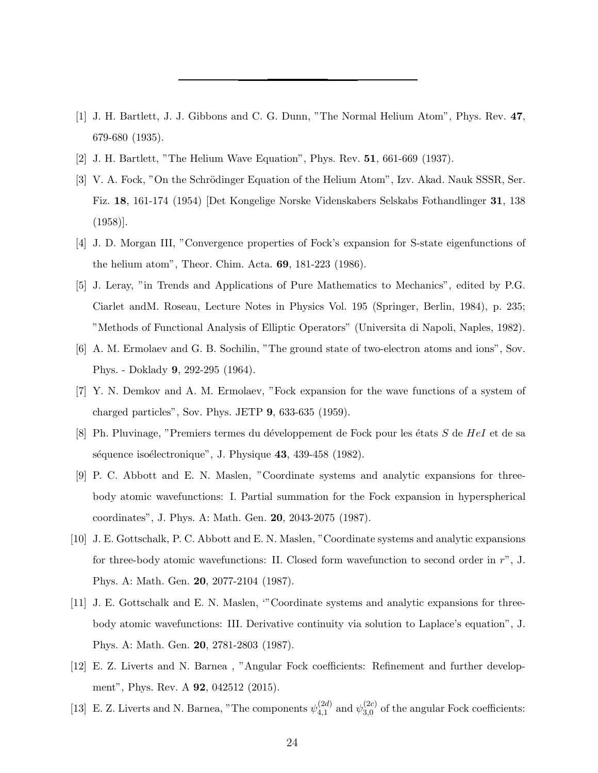- [1] J. H. Bartlett, J. J. Gibbons and C. G. Dunn, "The Normal Helium Atom", Phys. Rev. 47, 679-680 (1935).
- [2] J. H. Bartlett, "The Helium Wave Equation", Phys. Rev. 51, 661-669 (1937).
- [3] V. A. Fock, "On the Schrödinger Equation of the Helium Atom", Izv. Akad. Nauk SSSR, Ser. Fiz. 18, 161-174 (1954) [Det Kongelige Norske Videnskabers Selskabs Fothandlinger 31, 138 (1958)].
- [4] J. D. Morgan III, "Convergence properties of Fock's expansion for S-state eigenfunctions of the helium atom", Theor. Chim. Acta. 69, 181-223 (1986).
- [5] J. Leray, "in Trends and Applications of Pure Mathematics to Mechanics", edited by P.G. Ciarlet andM. Roseau, Lecture Notes in Physics Vol. 195 (Springer, Berlin, 1984), p. 235; "Methods of Functional Analysis of Elliptic Operators" (Universita di Napoli, Naples, 1982).
- [6] A. M. Ermolaev and G. B. Sochilin, "The ground state of two-electron atoms and ions", Sov. Phys. - Doklady 9, 292-295 (1964).
- [7] Y. N. Demkov and A. M. Ermolaev, "Fock expansion for the wave functions of a system of charged particles", Sov. Phys. JETP 9, 633-635 (1959).
- [8] Ph. Pluvinage, "Premiers termes du développement de Fock pour les états  $S$  de  $HeI$  et de sa séquence isoélectronique", J. Physique 43, 439-458 (1982).
- [9] P. C. Abbott and E. N. Maslen, "Coordinate systems and analytic expansions for threebody atomic wavefunctions: I. Partial summation for the Fock expansion in hyperspherical coordinates", J. Phys. A: Math. Gen. 20, 2043-2075 (1987).
- [10] J. E. Gottschalk, P. C. Abbott and E. N. Maslen, "Coordinate systems and analytic expansions for three-body atomic wavefunctions: II. Closed form wavefunction to second order in r", J. Phys. A: Math. Gen. 20, 2077-2104 (1987).
- [11] J. E. Gottschalk and E. N. Maslen, '"Coordinate systems and analytic expansions for threebody atomic wavefunctions: III. Derivative continuity via solution to Laplace's equation", J. Phys. A: Math. Gen. 20, 2781-2803 (1987).
- [12] E. Z. Liverts and N. Barnea , "Angular Fock coefficients: Refinement and further development", Phys. Rev. A **92**, 042512 (2015).
- [13] E. Z. Liverts and N. Barnea, "The components  $\psi_{4,1}^{(2d)}$  $_{4,1}^{(2d)}$  and  $\psi_{3,0}^{(2c)}$  $_{3,0}^{(2c)}$  of the angular Fock coefficients: